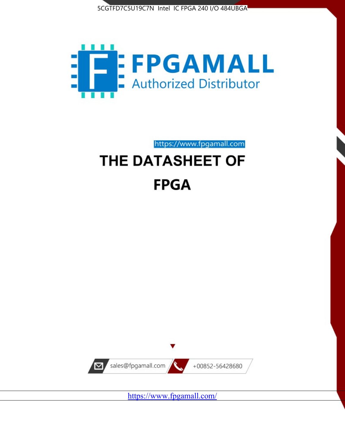



# https://www.fpgamall.com THE DATASHEET OF **FPGA**



<https://www.fpgamall.com/>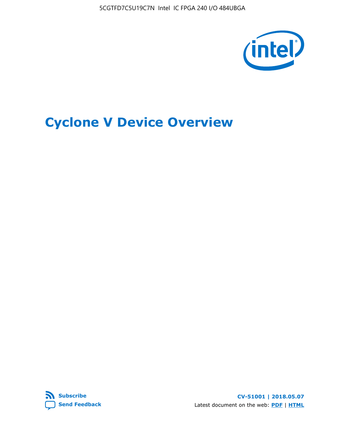5CGTFD7C5U19C7N Intel IC FPGA 240 I/O 484UBGA



# **Cyclone V Device Overview**



**CV-51001 | 2018.05.07** Latest document on the web: **[PDF](https://www.altera.com/en_US/pdfs/literature/hb/cyclone-v/cv_51001.pdf)** | **[HTML](https://www.altera.com/documentation/sam1403480548153.html)**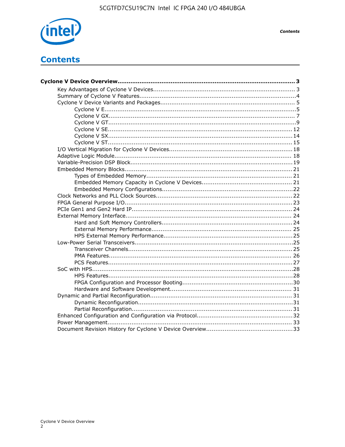

**Contents** 

# **Contents**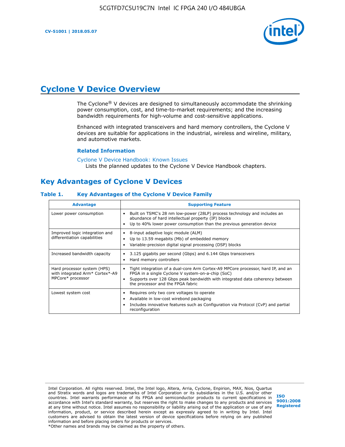**CV-51001 | 2018.05.07**



# **Cyclone V Device Overview**

The Cyclone® V devices are designed to simultaneously accommodate the shrinking power consumption, cost, and time-to-market requirements; and the increasing bandwidth requirements for high-volume and cost-sensitive applications.

Enhanced with integrated transceivers and hard memory controllers, the Cyclone V devices are suitable for applications in the industrial, wireless and wireline, military, and automotive markets.

### **Related Information**

#### [Cyclone V Device Handbook: Known Issues](https://www.altera.com/support/support-resources/knowledge-base/solutions/rd12152011_347.html) Lists the planned updates to the Cyclone V Device Handbook chapters.

### **Key Advantages of Cyclone V Devices**

### **Table 1. Key Advantages of the Cyclone V Device Family**

| <b>Advantage</b>                                                                    | <b>Supporting Feature</b>                                                                                                                                                                                                                                                    |
|-------------------------------------------------------------------------------------|------------------------------------------------------------------------------------------------------------------------------------------------------------------------------------------------------------------------------------------------------------------------------|
| Lower power consumption                                                             | Built on TSMC's 28 nm low-power (28LP) process technology and includes an<br>٠<br>abundance of hard intellectual property (IP) blocks<br>Up to 40% lower power consumption than the previous generation device<br>٠                                                          |
| Improved logic integration and<br>differentiation capabilities                      | 8-input adaptive logic module (ALM)<br>٠<br>Up to 13.59 megabits (Mb) of embedded memory<br>٠<br>Variable-precision digital signal processing (DSP) blocks<br>٠                                                                                                              |
| Increased bandwidth capacity                                                        | 3.125 gigabits per second (Gbps) and 6.144 Gbps transceivers<br>٠<br>Hard memory controllers<br>٠                                                                                                                                                                            |
| Hard processor system (HPS)<br>with integrated Arm* Cortex*-A9<br>MPCore* processor | Tight integration of a dual-core Arm Cortex-A9 MPCore processor, hard IP, and an<br>$\bullet$<br>FPGA in a single Cyclone V system-on-a-chip (SoC)<br>Supports over 128 Gbps peak bandwidth with integrated data coherency between<br>٠<br>the processor and the FPGA fabric |
| Lowest system cost                                                                  | Requires only two core voltages to operate<br>٠<br>Available in low-cost wirebond packaging<br>٠<br>Includes innovative features such as Configuration via Protocol (CvP) and partial<br>٠<br>reconfiguration                                                                |

Intel Corporation. All rights reserved. Intel, the Intel logo, Altera, Arria, Cyclone, Enpirion, MAX, Nios, Quartus and Stratix words and logos are trademarks of Intel Corporation or its subsidiaries in the U.S. and/or other countries. Intel warrants performance of its FPGA and semiconductor products to current specifications in accordance with Intel's standard warranty, but reserves the right to make changes to any products and services at any time without notice. Intel assumes no responsibility or liability arising out of the application or use of any information, product, or service described herein except as expressly agreed to in writing by Intel. Intel customers are advised to obtain the latest version of device specifications before relying on any published information and before placing orders for products or services. \*Other names and brands may be claimed as the property of others.

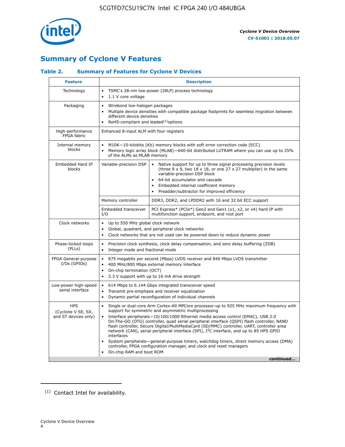

## **Summary of Cyclone V Features**

### **Table 2. Summary of Features for Cyclone V Devices**

| <b>Feature</b>                                           | <b>Description</b>                                                                                                                                                                                                                                                                                                                               |                                                                                                                                                                                                                                                                                                                                                                                                                                                                                                                                                                                                                                                                                                         |  |  |  |  |  |  |
|----------------------------------------------------------|--------------------------------------------------------------------------------------------------------------------------------------------------------------------------------------------------------------------------------------------------------------------------------------------------------------------------------------------------|---------------------------------------------------------------------------------------------------------------------------------------------------------------------------------------------------------------------------------------------------------------------------------------------------------------------------------------------------------------------------------------------------------------------------------------------------------------------------------------------------------------------------------------------------------------------------------------------------------------------------------------------------------------------------------------------------------|--|--|--|--|--|--|
| Technology                                               | $\bullet$<br>1.1 V core voltage                                                                                                                                                                                                                                                                                                                  | TSMC's 28-nm low-power (28LP) process technology                                                                                                                                                                                                                                                                                                                                                                                                                                                                                                                                                                                                                                                        |  |  |  |  |  |  |
| Packaging                                                | $\bullet$                                                                                                                                                                                                                                                                                                                                        | Wirebond low-halogen packages<br>Multiple device densities with compatible package footprints for seamless migration between<br>different device densities<br>RoHS-compliant and leaded $(1)$ options                                                                                                                                                                                                                                                                                                                                                                                                                                                                                                   |  |  |  |  |  |  |
| High-performance<br>FPGA fabric                          | Enhanced 8-input ALM with four registers                                                                                                                                                                                                                                                                                                         |                                                                                                                                                                                                                                                                                                                                                                                                                                                                                                                                                                                                                                                                                                         |  |  |  |  |  |  |
| Internal memory<br>blocks                                | of the ALMs as MLAB memory                                                                                                                                                                                                                                                                                                                       | M10K-10-kilobits (Kb) memory blocks with soft error correction code (ECC)<br>Memory logic array block (MLAB)-640-bit distributed LUTRAM where you can use up to 25%                                                                                                                                                                                                                                                                                                                                                                                                                                                                                                                                     |  |  |  |  |  |  |
| Embedded Hard IP<br>blocks                               | Variable-precision DSP<br>Native support for up to three signal processing precision levels<br>(three $9 \times 9$ , two $18 \times 18$ , or one $27 \times 27$ multiplier) in the same<br>variable-precision DSP block<br>64-bit accumulator and cascade<br>Embedded internal coefficient memory<br>Preadder/subtractor for improved efficiency |                                                                                                                                                                                                                                                                                                                                                                                                                                                                                                                                                                                                                                                                                                         |  |  |  |  |  |  |
|                                                          | Memory controller                                                                                                                                                                                                                                                                                                                                | DDR3, DDR2, and LPDDR2 with 16 and 32 bit ECC support                                                                                                                                                                                                                                                                                                                                                                                                                                                                                                                                                                                                                                                   |  |  |  |  |  |  |
|                                                          | Embedded transceiver<br>I/O                                                                                                                                                                                                                                                                                                                      | PCI Express* (PCIe*) Gen2 and Gen1 (x1, x2, or x4) hard IP with<br>multifunction support, endpoint, and root port                                                                                                                                                                                                                                                                                                                                                                                                                                                                                                                                                                                       |  |  |  |  |  |  |
| Clock networks                                           | Up to 550 MHz global clock network<br>$\bullet$<br>$\bullet$<br>$\bullet$                                                                                                                                                                                                                                                                        | Global, quadrant, and peripheral clock networks<br>Clock networks that are not used can be powered down to reduce dynamic power                                                                                                                                                                                                                                                                                                                                                                                                                                                                                                                                                                         |  |  |  |  |  |  |
| Phase-locked loops<br>(PLLs)                             | $\bullet$<br>Integer mode and fractional mode<br>$\bullet$                                                                                                                                                                                                                                                                                       | Precision clock synthesis, clock delay compensation, and zero delay buffering (ZDB)                                                                                                                                                                                                                                                                                                                                                                                                                                                                                                                                                                                                                     |  |  |  |  |  |  |
| FPGA General-purpose<br>$I/Os$ (GPIOs)                   | $\bullet$<br>$\bullet$<br>$\bullet$                                                                                                                                                                                                                                                                                                              | 875 megabits per second (Mbps) LVDS receiver and 840 Mbps LVDS transmitter<br>400 MHz/800 Mbps external memory interface<br>On-chip termination (OCT)<br>3.3 V support with up to 16 mA drive strength                                                                                                                                                                                                                                                                                                                                                                                                                                                                                                  |  |  |  |  |  |  |
| Low-power high-speed<br>serial interface                 | 614 Mbps to 6.144 Gbps integrated transceiver speed<br>$\bullet$<br>Transmit pre-emphasis and receiver equalization<br>$\bullet$<br>Dynamic partial reconfiguration of individual channels<br>$\bullet$                                                                                                                                          |                                                                                                                                                                                                                                                                                                                                                                                                                                                                                                                                                                                                                                                                                                         |  |  |  |  |  |  |
| <b>HPS</b><br>(Cyclone V SE, SX,<br>and ST devices only) | $\bullet$<br>$\bullet$<br>interfaces<br>On-chip RAM and boot ROM                                                                                                                                                                                                                                                                                 | Single or dual-core Arm Cortex-A9 MPCore processor-up to 925 MHz maximum frequency with<br>support for symmetric and asymmetric multiprocessing<br>Interface peripherals-10/100/1000 Ethernet media access control (EMAC), USB 2.0<br>On-The-GO (OTG) controller, quad serial peripheral interface (QSPI) flash controller, NAND<br>flash controller, Secure Digital/MultiMediaCard (SD/MMC) controller, UART, controller area<br>network (CAN), serial peripheral interface (SPI), I <sup>2</sup> C interface, and up to 85 HPS GPIO<br>System peripherals—general-purpose timers, watchdog timers, direct memory access (DMA)<br>controller, FPGA configuration manager, and clock and reset managers |  |  |  |  |  |  |
|                                                          |                                                                                                                                                                                                                                                                                                                                                  | continued                                                                                                                                                                                                                                                                                                                                                                                                                                                                                                                                                                                                                                                                                               |  |  |  |  |  |  |

<sup>(1)</sup> Contact Intel for availability.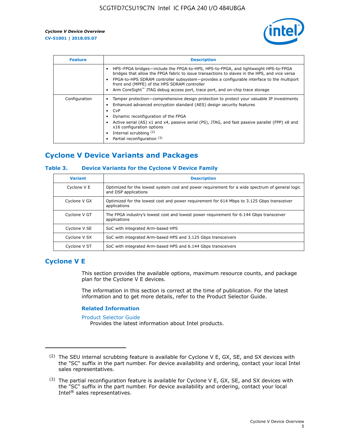

| <b>Feature</b> | <b>Description</b>                                                                                                                                                                                                                                                                                                                                                                                                 |
|----------------|--------------------------------------------------------------------------------------------------------------------------------------------------------------------------------------------------------------------------------------------------------------------------------------------------------------------------------------------------------------------------------------------------------------------|
|                | HPS-FPGA bridges—include the FPGA-to-HPS, HPS-to-FPGA, and lightweight HPS-to-FPGA<br>bridges that allow the FPGA fabric to issue transactions to slaves in the HPS, and vice versa<br>FPGA-to-HPS SDRAM controller subsystem—provides a configurable interface to the multiport<br>front end (MPFE) of the HPS SDRAM controller<br>Arm CoreSight™ JTAG debug access port, trace port, and on-chip trace storage   |
| Configuration  | Tamper protection—comprehensive design protection to protect your valuable IP investments<br>Enhanced advanced encryption standard (AES) design security features<br>$\bullet$ CvP<br>Dynamic reconfiguration of the FPGA<br>Active serial (AS) x1 and x4, passive serial (PS), JTAG, and fast passive parallel (FPP) x8 and<br>x16 configuration options<br>Internal scrubbing (2)<br>Partial reconfiguration (3) |

## **Cyclone V Device Variants and Packages**

### **Table 3. Device Variants for the Cyclone V Device Family**

| <b>Variant</b> | <b>Description</b>                                                                                                      |
|----------------|-------------------------------------------------------------------------------------------------------------------------|
| Cyclone V E    | Optimized for the lowest system cost and power requirement for a wide spectrum of general logic<br>and DSP applications |
| Cyclone V GX   | Optimized for the lowest cost and power requirement for 614 Mbps to 3.125 Gbps transceiver<br>applications              |
| Cyclone V GT   | The FPGA industry's lowest cost and lowest power requirement for 6.144 Gbps transceiver<br>applications                 |
| Cyclone V SE   | SoC with integrated Arm-based HPS                                                                                       |
| Cyclone V SX   | SoC with integrated Arm-based HPS and 3.125 Gbps transceivers                                                           |
| Cyclone V ST   | SoC with integrated Arm-based HPS and 6.144 Gbps transceivers                                                           |

### **Cyclone V E**

This section provides the available options, maximum resource counts, and package plan for the Cyclone V E devices.

The information in this section is correct at the time of publication. For the latest information and to get more details, refer to the Product Selector Guide.

#### **Related Information**

[Product Selector Guide](https://www.altera.com/products/product-selector-guide.html)

Provides the latest information about Intel products.

<sup>(2)</sup> The SEU internal scrubbing feature is available for Cyclone V E, GX, SE, and SX devices with the "SC" suffix in the part number. For device availability and ordering, contact your local Intel sales representatives.

 $(3)$  The partial reconfiguration feature is available for Cyclone V E, GX, SE, and SX devices with the "SC" suffix in the part number. For device availability and ordering, contact your local Intel® sales representatives.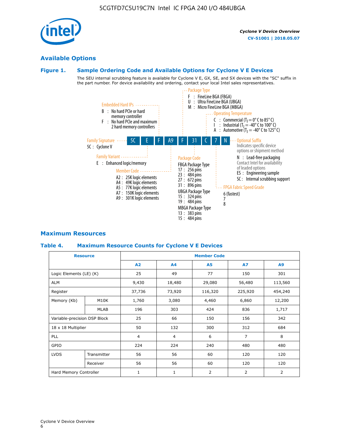Cyclone V Device Overview

6

### **Available Options**

### **Figure 1. Sample Ordering Code and Available Options for Cyclone V E Devices**

The SEU internal scrubbing feature is available for Cyclone V E, GX, SE, and SX devices with the "SC" suffix in the part number. For device availability and ordering, contact your local Intel sales representatives.



### **Maximum Resources**

### **Table 4. Maximum Resource Counts for Cyclone V E Devices**

|                         | <b>Resource</b>              | <b>Member Code</b> |              |                |                |         |  |  |
|-------------------------|------------------------------|--------------------|--------------|----------------|----------------|---------|--|--|
|                         |                              | A2                 | A4           | <b>A5</b>      | <b>A7</b>      | A9      |  |  |
| Logic Elements (LE) (K) |                              | 25                 | 49           | 77             | 150            | 301     |  |  |
| <b>ALM</b>              |                              | 9,430              | 18,480       | 29,080         | 56,480         | 113,560 |  |  |
| Register                |                              | 37,736             | 73,920       | 116,320        | 225,920        | 454,240 |  |  |
| Memory (Kb)             | M10K                         | 1,760              | 3,080        | 4,460          | 6,860          | 12,200  |  |  |
|                         | MLAB                         | 196                | 303          | 424            | 836            | 1,717   |  |  |
|                         | Variable-precision DSP Block |                    | 66           | 150            | 156            | 342     |  |  |
| 18 x 18 Multiplier      |                              | 50                 | 132          | 300            | 312            | 684     |  |  |
| PLL                     |                              | $\overline{4}$     | 4            | 6              | $\overline{7}$ | 8       |  |  |
| GPIO                    |                              | 224<br>224<br>240  |              | 480            | 480            |         |  |  |
| <b>LVDS</b>             | Transmitter                  | 56                 | 56           | 60             | 120            | 120     |  |  |
|                         | Receiver                     | 56                 | 56           | 60             | 120            | 120     |  |  |
| Hard Memory Controller  |                              | $\mathbf{1}$       | $\mathbf{1}$ | $\overline{2}$ | $\overline{2}$ | 2       |  |  |

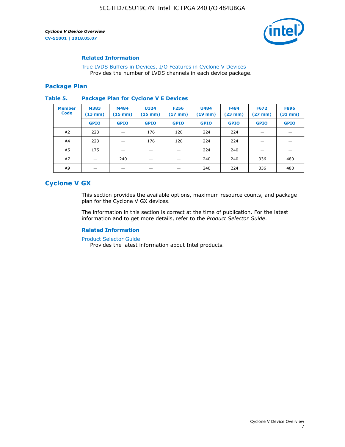

### **Related Information**

[True LVDS Buffers in Devices, I/O Features in Cyclone V Devices](https://www.altera.com/documentation/sam1403481100977.html#sam1403480885395) Provides the number of LVDS channels in each device package.

### **Package Plan**

#### **Table 5. Package Plan for Cyclone V E Devices**

| <b>Member</b><br><b>Code</b> | <b>M383</b><br>$(13 \text{ mm})$ | M484<br>$(15 \text{ mm})$ | <b>U324</b><br>$(15 \text{ mm})$ | <b>F256</b><br>$(17 \text{ mm})$ | <b>U484</b><br>$(19$ mm) | <b>F484</b><br>$(23$ mm $)$ | <b>F672</b><br>$(27 \text{ mm})$ | <b>F896</b><br>$(31 \text{ mm})$ |
|------------------------------|----------------------------------|---------------------------|----------------------------------|----------------------------------|--------------------------|-----------------------------|----------------------------------|----------------------------------|
|                              | <b>GPIO</b>                      | <b>GPIO</b>               | <b>GPIO</b>                      | <b>GPIO</b>                      | <b>GPIO</b>              | <b>GPIO</b>                 | <b>GPIO</b>                      | <b>GPIO</b>                      |
| A <sub>2</sub>               | 223                              |                           | 176                              | 128                              | 224                      | 224                         |                                  |                                  |
| A4                           | 223                              |                           | 176                              | 128                              | 224                      | 224                         | –                                |                                  |
| A <sub>5</sub>               | 175                              |                           |                                  |                                  | 224                      | 240                         |                                  |                                  |
| A7                           |                                  | 240                       |                                  |                                  | 240                      | 240                         | 336                              | 480                              |
| A9                           |                                  |                           |                                  |                                  | 240                      | 224                         | 336                              | 480                              |

### **Cyclone V GX**

This section provides the available options, maximum resource counts, and package plan for the Cyclone V GX devices.

The information in this section is correct at the time of publication. For the latest information and to get more details, refer to the *Product Selector Guide*.

### **Related Information**

[Product Selector Guide](https://www.altera.com/products/product-selector-guide.html)

Provides the latest information about Intel products.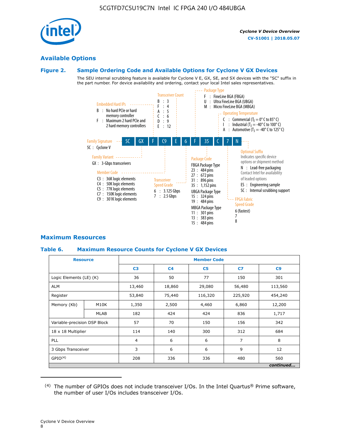

### **Available Options**

### **Figure 2. Sample Ordering Code and Available Options for Cyclone V GX Devices**

The SEU internal scrubbing feature is available for Cyclone V E, GX, SE, and SX devices with the "SC" suffix in the part number. For device availability and ordering, contact your local Intel sales representatives.



### **Maximum Resources**

### **Table 6. Maximum Resource Counts for Cyclone V GX Devices**

|                              | <b>Resource</b> | <b>Member Code</b> |                |                |         |           |                |   |
|------------------------------|-----------------|--------------------|----------------|----------------|---------|-----------|----------------|---|
|                              |                 | C <sub>3</sub>     | C <sub>4</sub> | C <sub>5</sub> | C7      | C9        |                |   |
| Logic Elements (LE) (K)      |                 | 36                 | 50             | 77             | 150     | 301       |                |   |
| <b>ALM</b>                   |                 | 13,460             | 18,860         | 29,080         | 56,480  | 113,560   |                |   |
| Register                     |                 | 53,840             | 75,440         | 116,320        | 225,920 | 454,240   |                |   |
| Memory (Kb)                  | M10K            | 1,350              | 2,500          | 4,460          | 6,860   | 12,200    |                |   |
|                              | <b>MLAB</b>     | 182                | 424            | 424            | 836     | 1,717     |                |   |
| Variable-precision DSP Block |                 | 57                 | 70             | 150            | 156     | 342       |                |   |
| 18 x 18 Multiplier           |                 | 114                | 140            | 300            | 312     | 684       |                |   |
| PLL                          |                 |                    |                |                | 6       | 6         | $\overline{7}$ | 8 |
| 3 Gbps Transceiver           |                 | 3                  | 6              | 6              | 9       | 12        |                |   |
| GPIO <sup>(4)</sup>          |                 | 208                | 336            | 336            | 480     | 560       |                |   |
|                              |                 |                    |                |                |         | continued |                |   |

 $(4)$  The number of GPIOs does not include transceiver I/Os. In the Intel Quartus® Prime software, the number of user I/Os includes transceiver I/Os.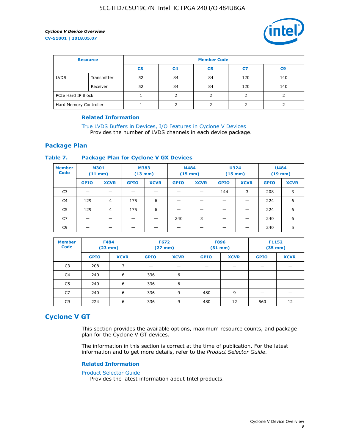

| <b>Resource</b>        |             | <b>Member Code</b> |                |                |     |                |  |  |
|------------------------|-------------|--------------------|----------------|----------------|-----|----------------|--|--|
|                        |             | C <sub>3</sub>     | C <sub>4</sub> | C <sub>5</sub> | C7  | C <sub>9</sub> |  |  |
| <b>LVDS</b>            | Transmitter | 52                 | 84             | 84             | 120 | 140            |  |  |
|                        | Receiver    | 52                 | 84             | 84             | 120 | 140            |  |  |
| PCIe Hard IP Block     |             |                    |                |                |     |                |  |  |
| Hard Memory Controller |             |                    | h              |                |     |                |  |  |

### **Related Information**

[True LVDS Buffers in Devices, I/O Features in Cyclone V Devices](https://www.altera.com/documentation/sam1403481100977.html#sam1403480885395) Provides the number of LVDS channels in each device package.

### **Package Plan**

### **Table 7. Package Plan for Cyclone V GX Devices**

| <b>Member</b><br><b>Code</b> | <b>M301</b><br>$(11$ mm) |                | <b>M383</b><br>$(13 \text{ mm})$ |             | M484        | $(15 \text{ mm})$ | <b>U324</b><br>$(15 \text{ mm})$ |             | <b>U484</b><br>$(19$ mm) |             |
|------------------------------|--------------------------|----------------|----------------------------------|-------------|-------------|-------------------|----------------------------------|-------------|--------------------------|-------------|
|                              | <b>GPIO</b>              | <b>XCVR</b>    | <b>GPIO</b>                      | <b>XCVR</b> | <b>GPIO</b> | <b>XCVR</b>       | <b>GPIO</b>                      | <b>XCVR</b> | <b>GPIO</b>              | <b>XCVR</b> |
| C <sub>3</sub>               |                          |                |                                  |             |             |                   | 144                              | 3           | 208                      | 3           |
| C <sub>4</sub>               | 129                      | $\overline{4}$ | 175                              | 6           |             |                   | –                                |             | 224                      | 6           |
| C5                           | 129                      | 4              | 175                              | 6           |             |                   |                                  |             | 224                      | 6           |
| C7                           | _                        |                |                                  |             | 240         | 3                 |                                  |             | 240                      | 6           |
| C <sub>9</sub>               |                          |                |                                  |             |             |                   |                                  |             | 240                      | 5           |

| <b>Member</b><br><b>Code</b> | <b>F484</b> | $(23$ mm)   | <b>F672</b> | $(27 \text{ mm})$ | <b>F896</b><br>$(31 \text{ mm})$ |             | F1152<br>$(35 \text{ mm})$ |             |
|------------------------------|-------------|-------------|-------------|-------------------|----------------------------------|-------------|----------------------------|-------------|
|                              | <b>GPIO</b> | <b>XCVR</b> | <b>GPIO</b> | <b>XCVR</b>       | <b>GPIO</b>                      | <b>XCVR</b> | <b>GPIO</b>                | <b>XCVR</b> |
| C <sub>3</sub>               | 208         | 3           |             |                   |                                  |             |                            |             |
| C4                           | 240         | 6           | 336         | 6                 |                                  |             |                            |             |
| C <sub>5</sub>               | 240         | 6           | 336         | 6                 |                                  |             |                            |             |
| C <sub>7</sub>               | 240         | 6           | 336         | 9                 | 480                              | 9           |                            |             |
| C <sub>9</sub>               | 224         | 6           | 336         | 9                 | 480                              | 12          | 560                        | 12          |

### **Cyclone V GT**

This section provides the available options, maximum resource counts, and package plan for the Cyclone V GT devices.

The information in this section is correct at the time of publication. For the latest information and to get more details, refer to the *Product Selector Guide*.

#### **Related Information**

#### [Product Selector Guide](https://www.altera.com/products/product-selector-guide.html)

Provides the latest information about Intel products.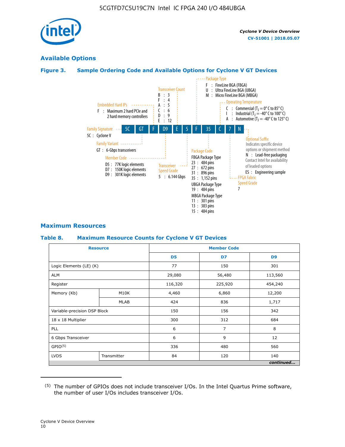

### **Available Options**

### **Figure 3. Sample Ordering Code and Available Options for Cyclone V GT Devices**



### **Maximum Resources**

#### **Table 8. Maximum Resource Counts for Cyclone V GT Devices**

|                              | <b>Resource</b> | <b>Member Code</b> |         |                |  |  |
|------------------------------|-----------------|--------------------|---------|----------------|--|--|
|                              |                 | D <sub>5</sub>     | D7      | D <sub>9</sub> |  |  |
| Logic Elements (LE) (K)      |                 | 77                 | 150     | 301            |  |  |
| <b>ALM</b>                   |                 | 29,080             | 56,480  | 113,560        |  |  |
| Register                     |                 | 116,320            | 225,920 | 454,240        |  |  |
| Memory (Kb)                  | M10K            | 4,460              | 6,860   | 12,200         |  |  |
|                              | <b>MLAB</b>     | 424                | 836     | 1,717          |  |  |
| Variable-precision DSP Block |                 | 150                | 156     | 342            |  |  |
| 18 x 18 Multiplier           |                 | 300                | 312     | 684            |  |  |
| PLL                          |                 | 6                  | 7       | 8              |  |  |
| 6 Gbps Transceiver           |                 | 6                  | 9       | 12             |  |  |
| GPIO <sup>(5)</sup>          |                 | 336                | 480     | 560            |  |  |
| <b>LVDS</b>                  | Transmitter     | 84                 | 120     | 140            |  |  |
|                              |                 |                    |         | continued      |  |  |

<sup>(5)</sup> The number of GPIOs does not include transceiver I/Os. In the Intel Quartus Prime software, the number of user I/Os includes transceiver I/Os.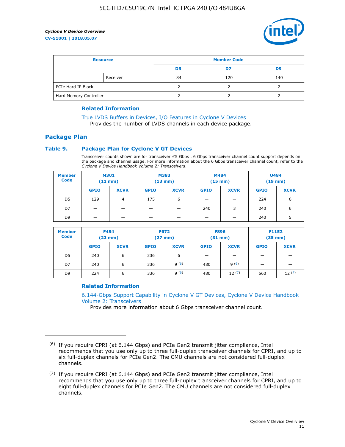

| <b>Resource</b>        |          | <b>Member Code</b> |     |     |  |  |
|------------------------|----------|--------------------|-----|-----|--|--|
|                        |          | D5                 | D7  | D9  |  |  |
|                        | Receiver | 84                 | 120 | 140 |  |  |
| PCIe Hard IP Block     |          |                    |     |     |  |  |
| Hard Memory Controller |          |                    |     |     |  |  |

### **Related Information**

[True LVDS Buffers in Devices, I/O Features in Cyclone V Devices](https://www.altera.com/documentation/sam1403481100977.html#sam1403480885395) Provides the number of LVDS channels in each device package.

### **Package Plan**

### **Table 9. Package Plan for Cyclone V GT Devices**

Transceiver counts shown are for transceiver ≤5 Gbps . 6 Gbps transceiver channel count support depends on the package and channel usage. For more information about the 6 Gbps transceiver channel count, refer to the *Cyclone V Device Handbook Volume 2: Transceivers*.

| <b>Member</b><br><b>Code</b> | <b>M301</b><br>(11 mm)   |                | M383<br>$(13 \text{ mm})$ |             | M484<br>$(15 \text{ mm})$ |             | <b>U484</b><br>$(19$ mm) |             |
|------------------------------|--------------------------|----------------|---------------------------|-------------|---------------------------|-------------|--------------------------|-------------|
|                              | <b>GPIO</b>              | <b>XCVR</b>    | <b>GPIO</b>               | <b>XCVR</b> | <b>GPIO</b>               | <b>XCVR</b> | <b>GPIO</b>              | <b>XCVR</b> |
| D <sub>5</sub>               | 129                      | $\overline{4}$ | 175                       | 6           | -                         | -           | 224                      | 6           |
| D7                           | -                        | -              |                           |             | 240                       | 3           | 240                      | 6           |
| D <sub>9</sub>               | $\overline{\phantom{0}}$ | _              |                           |             | -                         |             | 240                      | 5           |

| <b>Member</b><br><b>Code</b> | <b>F484</b><br>$(23 \text{ mm})$ |             | <b>F672</b><br>$(27 \text{ mm})$ |             | <b>F896</b><br>$(31$ mm $)$ |             | F1152<br>$(35$ mm $)$ |             |
|------------------------------|----------------------------------|-------------|----------------------------------|-------------|-----------------------------|-------------|-----------------------|-------------|
|                              | <b>GPIO</b>                      | <b>XCVR</b> | <b>GPIO</b>                      | <b>XCVR</b> | <b>GPIO</b>                 | <b>XCVR</b> | <b>GPIO</b>           | <b>XCVR</b> |
| D <sub>5</sub>               | 240                              | 6           | 336                              | 6           | -                           |             |                       |             |
| D7                           | 240                              | 6           | 336                              | q(6)        | 480                         | q(6)        |                       |             |
| D <sub>9</sub>               | 224                              | 6           | 336                              | 9(6)        | 480                         | 12(7)       | 560                   | 12(7)       |

### **Related Information**

[6.144-Gbps Support Capability in Cyclone V GT Devices, Cyclone V Device Handbook](https://www.altera.com/documentation/nik1409855456781.html#nik1409855410757) [Volume 2: Transceivers](https://www.altera.com/documentation/nik1409855456781.html#nik1409855410757)

Provides more information about 6 Gbps transceiver channel count.

<sup>(6)</sup> If you require CPRI (at 6.144 Gbps) and PCIe Gen2 transmit jitter compliance, Intel recommends that you use only up to three full-duplex transceiver channels for CPRI, and up to six full-duplex channels for PCIe Gen2. The CMU channels are not considered full-duplex channels.

 $(7)$  If you require CPRI (at 6.144 Gbps) and PCIe Gen2 transmit jitter compliance, Intel recommends that you use only up to three full-duplex transceiver channels for CPRI, and up to eight full-duplex channels for PCIe Gen2. The CMU channels are not considered full-duplex channels.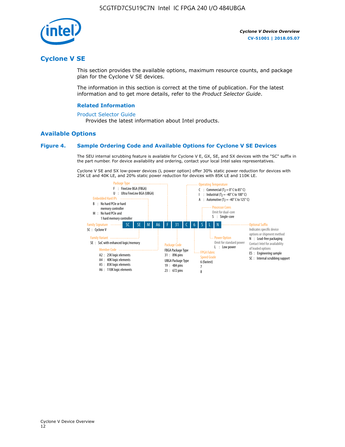

### **Cyclone V SE**

This section provides the available options, maximum resource counts, and package plan for the Cyclone V SE devices.

The information in this section is correct at the time of publication. For the latest information and to get more details, refer to the *Product Selector Guide*.

#### **Related Information**

#### [Product Selector Guide](https://www.altera.com/products/product-selector-guide.html)

Provides the latest information about Intel products.

### **Available Options**

#### **Figure 4. Sample Ordering Code and Available Options for Cyclone V SE Devices**

The SEU internal scrubbing feature is available for Cyclone V E, GX, SE, and SX devices with the "SC" suffix in the part number. For device availability and ordering, contact your local Intel sales representatives.

Cyclone V SE and SX low-power devices (L power option) offer 30% static power reduction for devices with 25K LE and 40K LE, and 20% static power reduction for devices with 85K LE and 110K LE.

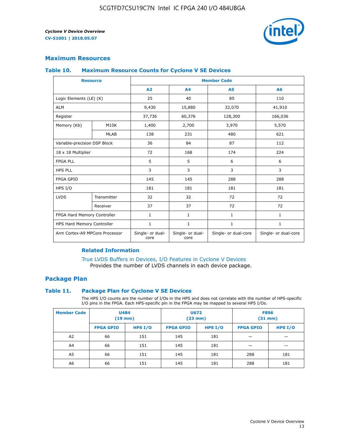

### **Maximum Resources**

#### **Table 10. Maximum Resource Counts for Cyclone V SE Devices**

|                                | <b>Resource</b>   | <b>Member Code</b>       |                          |                      |                      |  |
|--------------------------------|-------------------|--------------------------|--------------------------|----------------------|----------------------|--|
|                                |                   | A2                       | A4                       | <b>A5</b>            | A6                   |  |
| Logic Elements (LE) (K)        |                   | 25                       | 40                       | 85                   | 110                  |  |
| <b>ALM</b>                     |                   | 9,430                    | 15,880                   | 32,070               | 41,910               |  |
| Register                       |                   | 37,736                   | 60,376                   | 128,300              | 166,036              |  |
| Memory (Kb)                    | M <sub>10</sub> K | 1,400                    | 2,700                    | 3,970                | 5,570                |  |
|                                | <b>MLAB</b>       | 138                      | 231                      | 480                  | 621                  |  |
| Variable-precision DSP Block   |                   | 36                       | 84                       | 87                   | 112                  |  |
| 18 x 18 Multiplier             |                   | 72                       | 168                      | 174                  | 224                  |  |
| <b>FPGA PLL</b>                |                   | 5                        | 5                        | 6                    | 6                    |  |
| <b>HPS PLL</b>                 |                   | 3                        | 3                        | 3                    | 3                    |  |
| <b>FPGA GPIO</b>               |                   | 145                      | 145                      | 288                  | 288                  |  |
| HPS I/O                        |                   | 181                      | 181                      | 181                  | 181                  |  |
| <b>LVDS</b>                    | Transmitter       | 32                       | 32                       | 72                   | 72                   |  |
|                                | Receiver          | 37                       | 37                       | 72                   | 72                   |  |
| FPGA Hard Memory Controller    |                   | 1                        | $\mathbf{1}$             | $\mathbf{1}$         | $\mathbf{1}$         |  |
| HPS Hard Memory Controller     |                   | $\mathbf{1}$             | $\mathbf{1}$             | $\mathbf{1}$         | $\mathbf{1}$         |  |
| Arm Cortex-A9 MPCore Processor |                   | Single- or dual-<br>core | Single- or dual-<br>core | Single- or dual-core | Single- or dual-core |  |

### **Related Information**

[True LVDS Buffers in Devices, I/O Features in Cyclone V Devices](https://www.altera.com/documentation/sam1403481100977.html#sam1403480885395) Provides the number of LVDS channels in each device package.

### **Package Plan**

#### **Table 11. Package Plan for Cyclone V SE Devices**

The HPS I/O counts are the number of I/Os in the HPS and does not correlate with the number of HPS-specific I/O pins in the FPGA. Each HPS-specific pin in the FPGA may be mapped to several HPS I/Os.

| <b>Member Code</b> | <b>U484</b><br>$(19$ mm) |           | U672<br>(23 mm)  |           | <b>F896</b><br>$(31$ mm $)$ |           |
|--------------------|--------------------------|-----------|------------------|-----------|-----------------------------|-----------|
|                    | <b>FPGA GPIO</b>         | HPS $I/O$ | <b>FPGA GPIO</b> | HPS $I/O$ | <b>FPGA GPIO</b>            | HPS $I/O$ |
| A <sub>2</sub>     | 66                       | 151       | 145              | 181       |                             |           |
| A4                 | 66                       | 151       | 145              | 181       |                             |           |
| A <sub>5</sub>     | 66                       | 151       | 145              | 181       | 288                         | 181       |
| A6                 | 66                       | 151       | 145              | 181       | 288                         | 181       |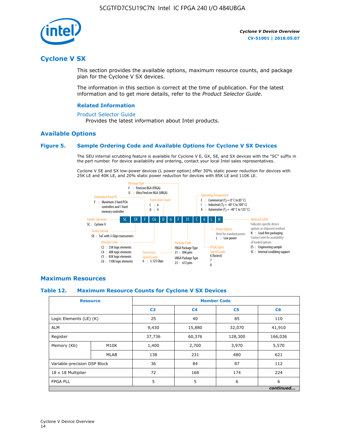

### **Cyclone V SX**

This section provides the available options, maximum resource counts, and package plan for the Cyclone V SX devices.

The information in this section is correct at the time of publication. For the latest information and to get more details, refer to the *Product Selector Guide*.

#### **Related Information**

#### [Product Selector Guide](https://www.altera.com/products/product-selector-guide.html)

Provides the latest information about Intel products.

### **Available Options**

### **Figure 5. Sample Ordering Code and Available Options for Cyclone V SX Devices**

The SEU internal scrubbing feature is available for Cyclone V E, GX, SE, and SX devices with the "SC" suffix in the part number. For device availability and ordering, contact your local Intel sales representatives.

Cyclone V SE and SX low-power devices (L power option) offer 30% static power reduction for devices with 25K LE and 40K LE, and 20% static power reduction for devices with 85K LE and 110K LE.



### **Maximum Resources**

#### **Table 12. Maximum Resource Counts for Cyclone V SX Devices**

|                              | <b>Resource</b> | <b>Member Code</b> |                |                |           |  |
|------------------------------|-----------------|--------------------|----------------|----------------|-----------|--|
|                              |                 | C <sub>2</sub>     | C <sub>4</sub> | C <sub>5</sub> | C6        |  |
| Logic Elements (LE) (K)      |                 | 25                 | 40             | 85             | 110       |  |
| <b>ALM</b>                   |                 | 9,430              | 15,880         | 32,070         | 41,910    |  |
| Register                     |                 | 37,736             | 60,376         | 128,300        | 166,036   |  |
| Memory (Kb)                  | M10K            | 1,400              | 2,700          | 3,970          | 5,570     |  |
|                              | <b>MLAB</b>     | 138                | 231            | 480            | 621       |  |
| Variable-precision DSP Block |                 | 36                 | 84             | 87             | 112       |  |
| 18 x 18 Multiplier           |                 | 72                 | 168            | 174            | 224       |  |
| <b>FPGA PLL</b>              |                 | 5                  | 5              | 6              | 6         |  |
|                              |                 |                    |                |                | continued |  |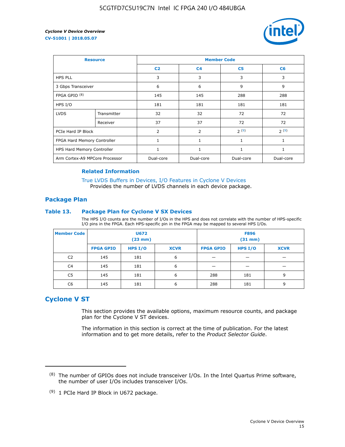

| <b>Resource</b>                |             | <b>Member Code</b> |                |                |                |  |  |
|--------------------------------|-------------|--------------------|----------------|----------------|----------------|--|--|
|                                |             | C <sub>2</sub>     | C <sub>4</sub> | C <sub>5</sub> | C <sub>6</sub> |  |  |
| <b>HPS PLL</b>                 |             | 3                  | 3              | 3              | 3              |  |  |
| 3 Gbps Transceiver             |             | 6                  | 6              | 9              | 9              |  |  |
| FPGA GPIO <sup>(8)</sup>       |             | 145                | 145            | 288            | 288            |  |  |
| HPS I/O                        |             | 181                | 181            | 181            | 181            |  |  |
| <b>LVDS</b>                    | Transmitter | 32                 | 32             | 72             | 72             |  |  |
|                                | Receiver    | 37                 | 37             | 72             | 72             |  |  |
| PCIe Hard IP Block             |             | $\overline{2}$     | 2              | 2(9)           | 2(9)           |  |  |
| FPGA Hard Memory Controller    |             | 1                  | $\mathbf{1}$   | $\mathbf{1}$   | $\mathbf{1}$   |  |  |
| HPS Hard Memory Controller     |             |                    | $\mathbf{1}$   | 1              | 1              |  |  |
| Arm Cortex-A9 MPCore Processor |             | Dual-core          | Dual-core      | Dual-core      | Dual-core      |  |  |

### **Related Information**

[True LVDS Buffers in Devices, I/O Features in Cyclone V Devices](https://www.altera.com/documentation/sam1403481100977.html#sam1403480885395) Provides the number of LVDS channels in each device package.

### **Package Plan**

#### **Table 13. Package Plan for Cyclone V SX Devices**

The HPS I/O counts are the number of I/Os in the HPS and does not correlate with the number of HPS-specific I/O pins in the FPGA. Each HPS-specific pin in the FPGA may be mapped to several HPS I/Os.

| <b>Member Code</b> | U672<br>(23 mm)  |           | <b>F896</b><br>$(31$ mm $)$ |                  |         |             |
|--------------------|------------------|-----------|-----------------------------|------------------|---------|-------------|
|                    | <b>FPGA GPIO</b> | HPS $I/O$ | <b>XCVR</b>                 | <b>FPGA GPIO</b> | HPS I/O | <b>XCVR</b> |
| C <sub>2</sub>     | 145              | 181       | 6                           |                  |         |             |
| C4                 | 145              | 181       | 6                           |                  |         |             |
| C <sub>5</sub>     | 145              | 181       | 6                           | 288              | 181     | 9           |
| C6                 | 145              | 181       | 6                           | 288              | 181     | 9           |

### **Cyclone V ST**

This section provides the available options, maximum resource counts, and package plan for the Cyclone V ST devices.

The information in this section is correct at the time of publication. For the latest information and to get more details, refer to the *Product Selector Guide*.

 $(8)$  The number of GPIOs does not include transceiver I/Os. In the Intel Quartus Prime software, the number of user I/Os includes transceiver I/Os.

<sup>(9)</sup> 1 PCIe Hard IP Block in U672 package.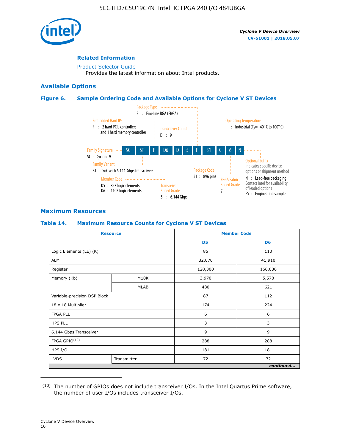

### **Related Information**

[Product Selector Guide](https://www.altera.com/products/product-selector-guide.html) Provides the latest information about Intel products.

### **Available Options**

### **Figure 6. Sample Ordering Code and Available Options for Cyclone V ST Devices**



### **Maximum Resources**

### **Table 14. Maximum Resource Counts for Cyclone V ST Devices**

| <b>Resource</b>              |             |                | <b>Member Code</b> |
|------------------------------|-------------|----------------|--------------------|
|                              |             | D <sub>5</sub> | D <sub>6</sub>     |
| Logic Elements (LE) (K)      |             | 85             | 110                |
| <b>ALM</b>                   |             | 32,070         | 41,910             |
| Register                     |             | 128,300        | 166,036            |
| Memory (Kb)                  | M10K        | 3,970          | 5,570              |
|                              | <b>MLAB</b> | 480            | 621                |
| Variable-precision DSP Block |             | 87             | 112                |
| 18 x 18 Multiplier           |             | 174            | 224                |
| <b>FPGA PLL</b>              |             | 6              | 6                  |
| <b>HPS PLL</b>               |             | 3              | 3                  |
| 6.144 Gbps Transceiver       |             | 9              | 9                  |
| FPGA GPIO(10)                |             | 288            | 288                |
| HPS I/O                      |             | 181            | 181                |
| <b>LVDS</b>                  | Transmitter | 72             | 72                 |
|                              |             |                | continued          |

<sup>(10)</sup> The number of GPIOs does not include transceiver I/Os. In the Intel Quartus Prime software, the number of user I/Os includes transceiver I/Os.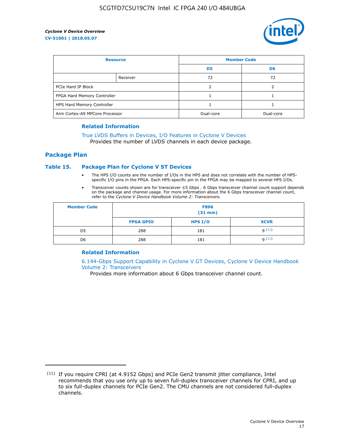

| <b>Resource</b>                |          | <b>Member Code</b> |                |  |
|--------------------------------|----------|--------------------|----------------|--|
|                                |          | D <sub>5</sub>     | D <sub>6</sub> |  |
|                                | Receiver | 72                 | 72             |  |
| PCIe Hard IP Block             |          |                    |                |  |
| FPGA Hard Memory Controller    |          |                    |                |  |
| HPS Hard Memory Controller     |          |                    |                |  |
| Arm Cortex-A9 MPCore Processor |          | Dual-core          | Dual-core      |  |

#### **Related Information**

### [True LVDS Buffers in Devices, I/O Features in Cyclone V Devices](https://www.altera.com/documentation/sam1403481100977.html#sam1403480885395)

Provides the number of LVDS channels in each device package.

### **Package Plan**

### **Table 15. Package Plan for Cyclone V ST Devices**

- The HPS I/O counts are the number of I/Os in the HPS and does not correlate with the number of HPSspecific I/O pins in the FPGA. Each HPS-specific pin in the FPGA may be mapped to several HPS I/Os.
- Transceiver counts shown are for transceiver ≤5 Gbps . 6 Gbps transceiver channel count support depends on the package and channel usage. For more information about the 6 Gbps transceiver channel count, refer to the *Cyclone V Device Handbook Volume 2: Transceivers*.

| <b>Member Code</b> | <b>F896</b><br>$(31$ mm $)$ |           |             |  |  |
|--------------------|-----------------------------|-----------|-------------|--|--|
|                    | <b>FPGA GPIO</b>            | HPS $I/O$ | <b>XCVR</b> |  |  |
| D <sub>5</sub>     | 288                         | 181       | 9(11)       |  |  |
| D <sub>6</sub>     | 288                         | 181       | q(11)       |  |  |

### **Related Information**

[6.144-Gbps Support Capability in Cyclone V GT Devices, Cyclone V Device Handbook](https://www.altera.com/documentation/nik1409855456781.html#nik1409855410757) [Volume 2: Transceivers](https://www.altera.com/documentation/nik1409855456781.html#nik1409855410757)

Provides more information about 6 Gbps transceiver channel count.

<sup>(11)</sup> If you require CPRI (at 4.9152 Gbps) and PCIe Gen2 transmit jitter compliance, Intel recommends that you use only up to seven full-duplex transceiver channels for CPRI, and up to six full-duplex channels for PCIe Gen2. The CMU channels are not considered full-duplex channels.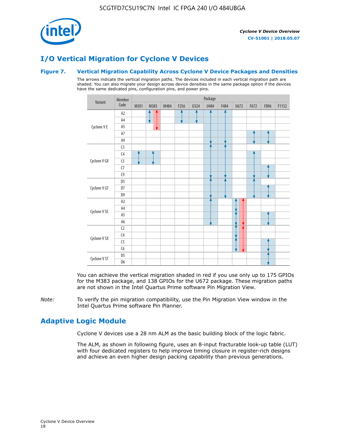

# **I/O Vertical Migration for Cyclone V Devices**

### **Figure 7. Vertical Migration Capability Across Cyclone V Device Packages and Densities**

The arrows indicate the vertical migration paths. The devices included in each vertical migration path are shaded. You can also migrate your design across device densities in the same package option if the devices have the same dedicated pins, configuration pins, and power pins.



You can achieve the vertical migration shaded in red if you use only up to 175 GPIOs for the M383 package, and 138 GPIOs for the U672 package. These migration paths are not shown in the Intel Quartus Prime software Pin Migration View.

*Note:* To verify the pin migration compatibility, use the Pin Migration View window in the Intel Quartus Prime software Pin Planner.

### **Adaptive Logic Module**

Cyclone V devices use a 28 nm ALM as the basic building block of the logic fabric.

The ALM, as shown in following figure, uses an 8-input fracturable look-up table (LUT) with four dedicated registers to help improve timing closure in register-rich designs and achieve an even higher design packing capability than previous generations.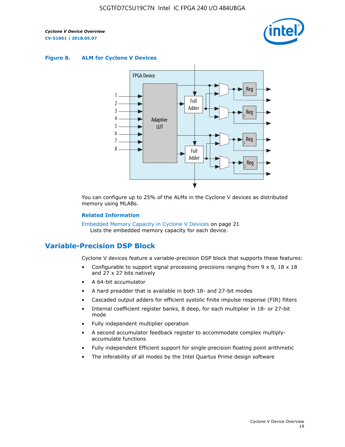

#### **Figure 8. ALM for Cyclone V Devices**



You can configure up to 25% of the ALMs in the Cyclone V devices as distributed memory using MLABs.

#### **Related Information**

Embedded Memory Capacity in Cyclone V Devices on page 21 Lists the embedded memory capacity for each device.

### **Variable-Precision DSP Block**

Cyclone V devices feature a variable-precision DSP block that supports these features:

- Configurable to support signal processing precisions ranging from  $9 \times 9$ ,  $18 \times 18$ and 27 x 27 bits natively
- A 64-bit accumulator
- A hard preadder that is available in both 18- and 27-bit modes
- Cascaded output adders for efficient systolic finite impulse response (FIR) filters
- Internal coefficient register banks, 8 deep, for each multiplier in 18- or 27-bit mode
- Fully independent multiplier operation
- A second accumulator feedback register to accommodate complex multiplyaccumulate functions
- Fully independent Efficient support for single-precision floating point arithmetic
- The inferability of all modes by the Intel Quartus Prime design software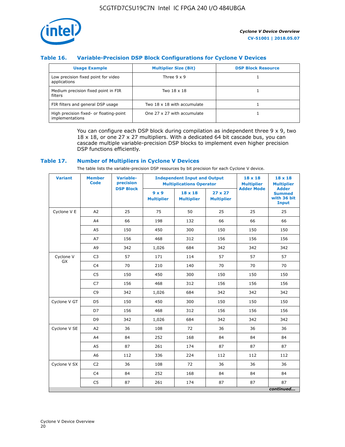

### **Table 16. Variable-Precision DSP Block Configurations for Cyclone V Devices**

| <b>Usage Example</b>                                       | <b>Multiplier Size (Bit)</b> | <b>DSP Block Resource</b> |
|------------------------------------------------------------|------------------------------|---------------------------|
| Low precision fixed point for video<br>applications        | Three $9 \times 9$           |                           |
| Medium precision fixed point in FIR<br>filters             | Two 18 x 18                  |                           |
| FIR filters and general DSP usage                          | Two 18 x 18 with accumulate  |                           |
| High precision fixed- or floating-point<br>implementations | One 27 x 27 with accumulate  |                           |

You can configure each DSP block during compilation as independent three  $9 \times 9$ , two 18 x 18, or one 27 x 27 multipliers. With a dedicated 64 bit cascade bus, you can cascade multiple variable-precision DSP blocks to implement even higher precision DSP functions efficiently.

### **Table 17. Number of Multipliers in Cyclone V Devices**

The table lists the variable-precision DSP resources by bit precision for each Cyclone V device.

| <b>Variant</b>  | <b>Member</b><br><b>Code</b> | <b>Variable-</b><br>precision |                                   | <b>Independent Input and Output</b><br><b>Multiplications Operator</b> | $18 \times 18$<br><b>Multiplier</b> | $18 \times 18$<br><b>Multiplier</b> |                                                              |
|-----------------|------------------------------|-------------------------------|-----------------------------------|------------------------------------------------------------------------|-------------------------------------|-------------------------------------|--------------------------------------------------------------|
|                 |                              | <b>DSP Block</b>              | $9 \times 9$<br><b>Multiplier</b> | $18 \times 18$<br><b>Multiplier</b>                                    | $27 \times 27$<br><b>Multiplier</b> | <b>Adder Mode</b>                   | <b>Adder</b><br><b>Summed</b><br>with 36 bit<br><b>Input</b> |
| Cyclone V E     | A2                           | 25                            | 75                                | 50                                                                     | 25                                  | 25                                  | 25                                                           |
|                 | A4                           | 66                            | 198                               | 132                                                                    | 66                                  | 66                                  | 66                                                           |
|                 | A5                           | 150                           | 450                               | 300                                                                    | 150                                 | 150                                 | 150                                                          |
|                 | A7                           | 156                           | 468                               | 312                                                                    | 156                                 | 156                                 | 156                                                          |
|                 | A9                           | 342                           | 1,026                             | 684                                                                    | 342                                 | 342                                 | 342                                                          |
| Cyclone V<br>GX | C <sub>3</sub>               | 57                            | 171                               | 114                                                                    | 57                                  | 57                                  | 57                                                           |
|                 | C <sub>4</sub>               | 70                            | 210                               | 140                                                                    | 70                                  | 70                                  | 70                                                           |
|                 | C <sub>5</sub>               | 150                           | 450                               | 300                                                                    | 150                                 | 150                                 | 150                                                          |
|                 | C7                           | 156                           | 468                               | 312                                                                    | 156                                 | 156                                 | 156                                                          |
|                 | C <sub>9</sub>               | 342                           | 1,026                             | 684                                                                    | 342                                 | 342                                 | 342                                                          |
| Cyclone V GT    | D <sub>5</sub>               | 150                           | 450                               | 300                                                                    | 150                                 | 150                                 | 150                                                          |
|                 | D7                           | 156                           | 468                               | 312                                                                    | 156                                 | 156                                 | 156                                                          |
|                 | D <sub>9</sub>               | 342                           | 1,026                             | 684                                                                    | 342                                 | 342                                 | 342                                                          |
| Cyclone V SE    | A <sub>2</sub>               | 36                            | 108                               | 72                                                                     | 36                                  | 36                                  | 36                                                           |
|                 | A4                           | 84                            | 252                               | 168                                                                    | 84                                  | 84                                  | 84                                                           |
|                 | A5                           | 87                            | 261                               | 174                                                                    | 87                                  | 87                                  | 87                                                           |
|                 | A <sub>6</sub>               | 112                           | 336                               | 224                                                                    | 112                                 | 112                                 | 112                                                          |
| Cyclone V SX    | C <sub>2</sub>               | 36                            | 108                               | 72                                                                     | 36                                  | 36                                  | 36                                                           |
|                 | C <sub>4</sub>               | 84                            | 252                               | 168                                                                    | 84                                  | 84                                  | 84                                                           |
|                 | C <sub>5</sub>               | 87                            | 261                               | 174                                                                    | 87                                  | 87                                  | 87                                                           |
|                 |                              |                               |                                   |                                                                        |                                     |                                     | continued                                                    |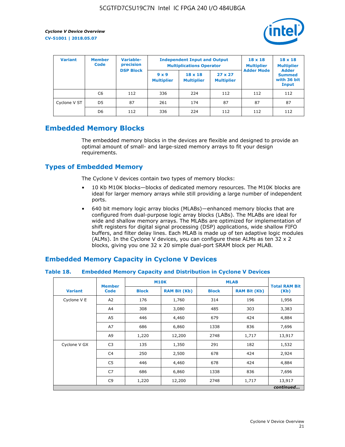

| <b>Variant</b> | <b>Member</b><br><b>Code</b> | Variable-<br>precision<br><b>DSP Block</b> |                                   | <b>Independent Input and Output</b><br><b>Multiplications Operator</b> | $18 \times 18$<br><b>Multiplier</b><br><b>Adder Mode</b> | $18 \times 18$<br><b>Multiplier</b><br><b>Adder</b> |                                       |
|----------------|------------------------------|--------------------------------------------|-----------------------------------|------------------------------------------------------------------------|----------------------------------------------------------|-----------------------------------------------------|---------------------------------------|
|                |                              |                                            | $9 \times 9$<br><b>Multiplier</b> | $18 \times 18$<br><b>Multiplier</b>                                    | $27 \times 27$<br><b>Multiplier</b>                      |                                                     | <b>Summed</b><br>with 36 bit<br>Input |
|                | C6                           | 112                                        | 336                               | 224                                                                    | 112                                                      | 112                                                 | 112                                   |
| Cyclone V ST   | D <sub>5</sub>               | 87                                         | 261                               | 174                                                                    | 87                                                       | 87                                                  | 87                                    |
|                | D <sub>6</sub>               | 112                                        | 336                               | 224                                                                    | 112                                                      | 112                                                 | 112                                   |

### **Embedded Memory Blocks**

The embedded memory blocks in the devices are flexible and designed to provide an optimal amount of small- and large-sized memory arrays to fit your design requirements.

### **Types of Embedded Memory**

The Cyclone V devices contain two types of memory blocks:

- 10 Kb M10K blocks—blocks of dedicated memory resources. The M10K blocks are ideal for larger memory arrays while still providing a large number of independent ports.
- 640 bit memory logic array blocks (MLABs)—enhanced memory blocks that are configured from dual-purpose logic array blocks (LABs). The MLABs are ideal for wide and shallow memory arrays. The MLABs are optimized for implementation of shift registers for digital signal processing (DSP) applications, wide shallow FIFO buffers, and filter delay lines. Each MLAB is made up of ten adaptive logic modules (ALMs). In the Cyclone V devices, you can configure these ALMs as ten 32 x 2 blocks, giving you one 32 x 20 simple dual-port SRAM block per MLAB.

### **Embedded Memory Capacity in Cyclone V Devices**

### **Table 18. Embedded Memory Capacity and Distribution in Cyclone V Devices**

|                | <b>Member</b>  | <b>M10K</b>  |                     | <b>MLAB</b>  | <b>Total RAM Bit</b> |        |  |  |  |
|----------------|----------------|--------------|---------------------|--------------|----------------------|--------|--|--|--|
| <b>Variant</b> | <b>Code</b>    | <b>Block</b> | <b>RAM Bit (Kb)</b> | <b>Block</b> | <b>RAM Bit (Kb)</b>  | (Kb)   |  |  |  |
| Cyclone V E    | A2             | 176          | 1,760               | 314          | 196                  | 1,956  |  |  |  |
|                | A4             | 308          | 3,080               | 485          | 303                  | 3,383  |  |  |  |
|                | A5             | 446          | 4,460               | 679          | 424                  | 4,884  |  |  |  |
|                | A7             | 686          | 6,860               | 1338         | 836                  | 7,696  |  |  |  |
|                | A9             | 1,220        | 12,200              | 2748         | 1,717                | 13,917 |  |  |  |
| Cyclone V GX   | C <sub>3</sub> | 135          | 1,350               | 291          | 182                  | 1,532  |  |  |  |
|                | C4             | 250          | 2,500               | 678          | 424                  | 2,924  |  |  |  |
|                | C5             | 446          | 4,460               | 678          | 424                  | 4,884  |  |  |  |
|                | C7             | 686          | 6,860               | 1338         | 836                  | 7,696  |  |  |  |
|                | C <sub>9</sub> | 1,220        | 12,200              | 2748         | 1,717                | 13,917 |  |  |  |
|                | continued      |              |                     |              |                      |        |  |  |  |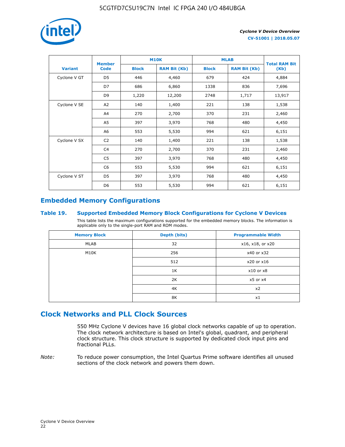

|                | <b>Member</b>  | <b>M10K</b>  |                     | <b>MLAB</b>  | <b>Total RAM Bit</b> |        |
|----------------|----------------|--------------|---------------------|--------------|----------------------|--------|
| <b>Variant</b> | <b>Code</b>    | <b>Block</b> | <b>RAM Bit (Kb)</b> | <b>Block</b> | <b>RAM Bit (Kb)</b>  | (Kb)   |
| Cyclone V GT   | D <sub>5</sub> | 446          | 4,460               | 679          | 424                  | 4,884  |
|                | D7             | 686          | 6,860               | 1338         | 836                  | 7,696  |
|                | D <sub>9</sub> | 1,220        | 12,200              | 2748         | 1,717                | 13,917 |
| Cyclone V SE   | A <sub>2</sub> | 140          | 1,400               | 221          | 138                  | 1,538  |
|                | A4             | 270          | 2,700               | 370          | 231                  | 2,460  |
|                | A5             | 397          | 3,970               | 768          | 480                  | 4,450  |
|                | A <sub>6</sub> | 553          | 5,530               | 994          | 621                  | 6,151  |
| Cyclone V SX   | C <sub>2</sub> | 140          | 1,400               | 221          | 138                  | 1,538  |
|                | C <sub>4</sub> | 270          | 2,700               | 370          | 231                  | 2,460  |
|                | C <sub>5</sub> | 397          | 3,970               | 768          | 480                  | 4,450  |
|                | C <sub>6</sub> | 553          | 5,530               | 994          | 621                  | 6,151  |
| Cyclone V ST   | D <sub>5</sub> | 397          | 3,970               | 768          | 480                  | 4,450  |
|                | D <sub>6</sub> | 553          | 5,530               | 994          | 621                  | 6,151  |

### **Embedded Memory Configurations**

### **Table 19. Supported Embedded Memory Block Configurations for Cyclone V Devices**

This table lists the maximum configurations supported for the embedded memory blocks. The information is applicable only to the single-port RAM and ROM modes.

| <b>Memory Block</b> | Depth (bits) | <b>Programmable Width</b> |
|---------------------|--------------|---------------------------|
| MLAB                | 32           | x16, x18, or x20          |
| M10K                | 256          | x40 or x32                |
|                     | 512          | x20 or x16                |
|                     | 1K           | $x10$ or $x8$             |
|                     | 2K           | $x5$ or $x4$              |
|                     | 4K           | x2                        |
|                     | 8K           | x1                        |

### **Clock Networks and PLL Clock Sources**

550 MHz Cyclone V devices have 16 global clock networks capable of up to operation. The clock network architecture is based on Intel's global, quadrant, and peripheral clock structure. This clock structure is supported by dedicated clock input pins and fractional PLLs.

*Note:* To reduce power consumption, the Intel Quartus Prime software identifies all unused sections of the clock network and powers them down.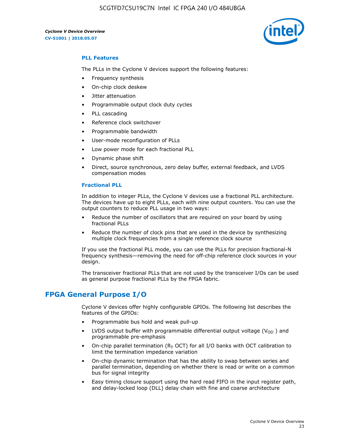5CGTFD7C5U19C7N Intel IC FPGA 240 I/O 484UBGA

*Cyclone V Device Overview* **CV-51001 | 2018.05.07**



### **PLL Features**

The PLLs in the Cyclone V devices support the following features:

- Frequency synthesis
- On-chip clock deskew
- Jitter attenuation
- Programmable output clock duty cycles
- PLL cascading
- Reference clock switchover
- Programmable bandwidth
- User-mode reconfiguration of PLLs
- Low power mode for each fractional PLL
- Dynamic phase shift
- Direct, source synchronous, zero delay buffer, external feedback, and LVDS compensation modes

#### **Fractional PLL**

In addition to integer PLLs, the Cyclone V devices use a fractional PLL architecture. The devices have up to eight PLLs, each with nine output counters. You can use the output counters to reduce PLL usage in two ways:

- Reduce the number of oscillators that are required on your board by using fractional PLLs
- Reduce the number of clock pins that are used in the device by synthesizing multiple clock frequencies from a single reference clock source

If you use the fractional PLL mode, you can use the PLLs for precision fractional-N frequency synthesis—removing the need for off-chip reference clock sources in your design.

The transceiver fractional PLLs that are not used by the transceiver I/Os can be used as general purpose fractional PLLs by the FPGA fabric.

### **FPGA General Purpose I/O**

Cyclone V devices offer highly configurable GPIOs. The following list describes the features of the GPIOs:

- Programmable bus hold and weak pull-up
- LVDS output buffer with programmable differential output voltage ( $V_{OD}$ ) and programmable pre-emphasis
- On-chip parallel termination ( $R<sub>T</sub>$  OCT) for all I/O banks with OCT calibration to limit the termination impedance variation
- On-chip dynamic termination that has the ability to swap between series and parallel termination, depending on whether there is read or write on a common bus for signal integrity
- Easy timing closure support using the hard read FIFO in the input register path, and delay-locked loop (DLL) delay chain with fine and coarse architecture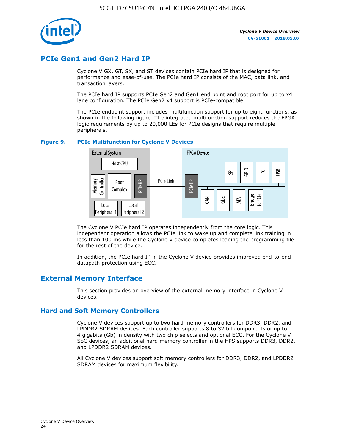

### **PCIe Gen1 and Gen2 Hard IP**

Cyclone V GX, GT, SX, and ST devices contain PCIe hard IP that is designed for performance and ease-of-use. The PCIe hard IP consists of the MAC, data link, and transaction layers.

The PCIe hard IP supports PCIe Gen2 and Gen1 end point and root port for up to x4 lane configuration. The PCIe Gen2 x4 support is PCIe-compatible.

The PCIe endpoint support includes multifunction support for up to eight functions, as shown in the following figure. The integrated multifunction support reduces the FPGA logic requirements by up to 20,000 LEs for PCIe designs that require multiple peripherals.

### **Figure 9. PCIe Multifunction for Cyclone V Devices**



The Cyclone V PCIe hard IP operates independently from the core logic. This independent operation allows the PCIe link to wake up and complete link training in less than 100 ms while the Cyclone V device completes loading the programming file for the rest of the device.

In addition, the PCIe hard IP in the Cyclone V device provides improved end-to-end datapath protection using ECC.

### **External Memory Interface**

This section provides an overview of the external memory interface in Cyclone V devices.

### **Hard and Soft Memory Controllers**

Cyclone V devices support up to two hard memory controllers for DDR3, DDR2, and LPDDR2 SDRAM devices. Each controller supports 8 to 32 bit components of up to 4 gigabits (Gb) in density with two chip selects and optional ECC. For the Cyclone V SoC devices, an additional hard memory controller in the HPS supports DDR3, DDR2, and LPDDR2 SDRAM devices.

All Cyclone V devices support soft memory controllers for DDR3, DDR2, and LPDDR2 SDRAM devices for maximum flexibility.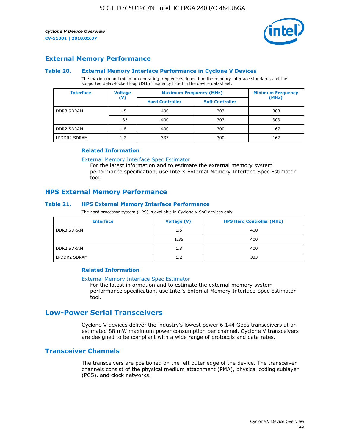

### **External Memory Performance**

### **Table 20. External Memory Interface Performance in Cyclone V Devices**

The maximum and minimum operating frequencies depend on the memory interface standards and the supported delay-locked loop (DLL) frequency listed in the device datasheet.

| <b>Voltage</b><br><b>Interface</b> |                | <b>Maximum Frequency (MHz)</b> | <b>Minimum Frequency</b> |       |
|------------------------------------|----------------|--------------------------------|--------------------------|-------|
|                                    | $(\mathsf{V})$ | <b>Hard Controller</b>         | <b>Soft Controller</b>   | (MHz) |
| <b>DDR3 SDRAM</b>                  | 1.5            | 400                            | 303                      | 303   |
|                                    | 1.35           | 400                            | 303                      | 303   |
| <b>DDR2 SDRAM</b>                  | 1.8            | 400                            | 300                      | 167   |
| LPDDR2 SDRAM                       | 1.2            | 333                            | 300                      | 167   |

#### **Related Information**

[External Memory Interface Spec Estimator](https://www.altera.com/solutions/technology/external-memory/spec-estimator.html)

For the latest information and to estimate the external memory system performance specification, use Intel's External Memory Interface Spec Estimator tool.

### **HPS External Memory Performance**

### **Table 21. HPS External Memory Interface Performance**

The hard processor system (HPS) is available in Cyclone V SoC devices only.

| <b>Interface</b>  | Voltage (V) | <b>HPS Hard Controller (MHz)</b> |
|-------------------|-------------|----------------------------------|
| <b>DDR3 SDRAM</b> | 1.5         | 400                              |
|                   | 1.35        | 400                              |
| <b>DDR2 SDRAM</b> | 1.8         | 400                              |
| LPDDR2 SDRAM      | 1.2         | 333                              |

### **Related Information**

#### [External Memory Interface Spec Estimator](https://www.altera.com/solutions/technology/external-memory/spec-estimator.html)

For the latest information and to estimate the external memory system performance specification, use Intel's External Memory Interface Spec Estimator tool.

### **Low-Power Serial Transceivers**

Cyclone V devices deliver the industry's lowest power 6.144 Gbps transceivers at an estimated 88 mW maximum power consumption per channel. Cyclone V transceivers are designed to be compliant with a wide range of protocols and data rates.

### **Transceiver Channels**

The transceivers are positioned on the left outer edge of the device. The transceiver channels consist of the physical medium attachment (PMA), physical coding sublayer (PCS), and clock networks.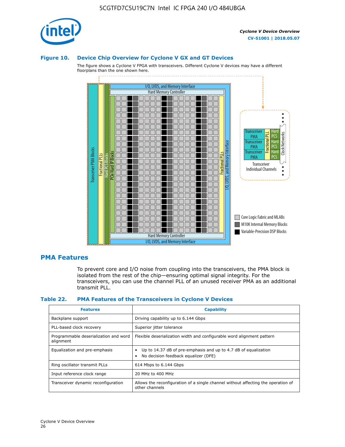

### **Figure 10. Device Chip Overview for Cyclone V GX and GT Devices**

The figure shows a Cyclone V FPGA with transceivers. Different Cyclone V devices may have a different floorplans than the one shown here.



### **PMA Features**

To prevent core and I/O noise from coupling into the transceivers, the PMA block is isolated from the rest of the chip—ensuring optimal signal integrity. For the transceivers, you can use the channel PLL of an unused receiver PMA as an additional transmit PLL.

#### **Table 22. PMA Features of the Transceivers in Cyclone V Devices**

| <b>Features</b>                                    | <b>Capability</b>                                                                                       |
|----------------------------------------------------|---------------------------------------------------------------------------------------------------------|
| Backplane support                                  | Driving capability up to 6.144 Gbps                                                                     |
| PLL-based clock recovery                           | Superior jitter tolerance                                                                               |
| Programmable deserialization and word<br>alignment | Flexible deserialization width and configurable word alignment pattern                                  |
| Equalization and pre-emphasis                      | Up to 14.37 dB of pre-emphasis and up to 4.7 dB of equalization<br>No decision feedback equalizer (DFE) |
| Ring oscillator transmit PLLs                      | 614 Mbps to 6.144 Gbps                                                                                  |
| Input reference clock range                        | 20 MHz to 400 MHz                                                                                       |
| Transceiver dynamic reconfiguration                | Allows the reconfiguration of a single channel without affecting the operation of<br>other channels     |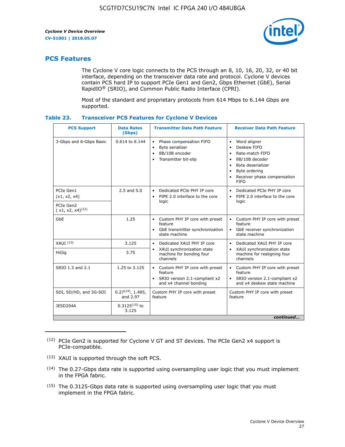

### **PCS Features**

The Cyclone V core logic connects to the PCS through an 8, 10, 16, 20, 32, or 40 bit interface, depending on the transceiver data rate and protocol. Cyclone V devices contain PCS hard IP to support PCIe Gen1 and Gen2, Gbps Ethernet (GbE), Serial RapidIO® (SRIO), and Common Public Radio Interface (CPRI).

Most of the standard and proprietary protocols from 614 Mbps to 6.144 Gbps are supported.

| Table 23. |  | <b>Transceiver PCS Features for Cyclone V Devices</b> |
|-----------|--|-------------------------------------------------------|
|           |  |                                                       |

| <b>PCS Support</b>                 | <b>Data Rates</b><br>(Gbps)        | <b>Transmitter Data Path Feature</b>                                                                         | <b>Receiver Data Path Feature</b>                                                                                                                                                                                                  |  |  |
|------------------------------------|------------------------------------|--------------------------------------------------------------------------------------------------------------|------------------------------------------------------------------------------------------------------------------------------------------------------------------------------------------------------------------------------------|--|--|
| 3-Gbps and 6-Gbps Basic            | 0.614 to 6.144                     | • Phase compensation FIFO<br>Byte serializer<br>8B/10B encoder<br>Transmitter bit-slip                       | Word aligner<br>$\bullet$<br>Deskew FIFO<br>$\bullet$<br>Rate-match FIFO<br>$\bullet$<br>8B/10B decoder<br>$\bullet$<br>Byte deserializer<br>$\bullet$<br>Byte ordering<br>$\bullet$<br>Receiver phase compensation<br><b>FIFO</b> |  |  |
| PCIe Gen1<br>(x1, x2, x4)          | $2.5$ and $5.0$                    | Dedicated PCIe PHY IP core<br>PIPE 2.0 interface to the core<br>$\bullet$<br>logic                           | Dedicated PCIe PHY IP core<br>$\bullet$<br>PIPE 2.0 interface to the core<br>$\bullet$<br>logic                                                                                                                                    |  |  |
| PCIe Gen2<br>$(x1, x2, x4)^{(12)}$ |                                    |                                                                                                              |                                                                                                                                                                                                                                    |  |  |
| GbE                                | 1.25                               | • Custom PHY IP core with preset<br>feature<br>GbE transmitter synchronization<br>$\bullet$<br>state machine | • Custom PHY IP core with preset<br>feature<br>GbE receiver synchronization<br>state machine                                                                                                                                       |  |  |
| $XAUI$ $(13)$                      | 3.125                              | Dedicated XAUI PHY IP core<br>$\bullet$                                                                      | Dedicated XAUI PHY IP core<br>$\bullet$                                                                                                                                                                                            |  |  |
| HiGig                              | 3.75                               | XAUI synchronization state<br>$\bullet$<br>machine for bonding four<br>channels                              | XAUI synchronization state<br>$\bullet$<br>machine for realigning four<br>channels                                                                                                                                                 |  |  |
| SRIO 1.3 and 2.1                   | 1.25 to 3.125                      | • Custom PHY IP core with preset<br>feature<br>• SRIO version 2.1-compliant x2<br>and x4 channel bonding     | • Custom PHY IP core with preset<br>feature<br>• SRIO version 2.1-compliant x2<br>and x4 deskew state machine                                                                                                                      |  |  |
| SDI, SD/HD, and 3G-SDI             | $0.27^{(14)}$ , 1.485,<br>and 2.97 | Custom PHY IP core with preset<br>feature                                                                    | Custom PHY IP core with preset<br>feature                                                                                                                                                                                          |  |  |
| JESD204A                           | $0.3125^{(15)}$ to<br>3.125        |                                                                                                              |                                                                                                                                                                                                                                    |  |  |
| continued                          |                                    |                                                                                                              |                                                                                                                                                                                                                                    |  |  |

<sup>(12)</sup> PCIe Gen2 is supported for Cyclone V GT and ST devices. The PCIe Gen2 x4 support is PCIe-compatible.

(15) The 0.3125-Gbps data rate is supported using oversampling user logic that you must implement in the FPGA fabric.

<sup>(13)</sup> XAUI is supported through the soft PCS.

<sup>(14)</sup> The 0.27-Gbps data rate is supported using oversampling user logic that you must implement in the FPGA fabric.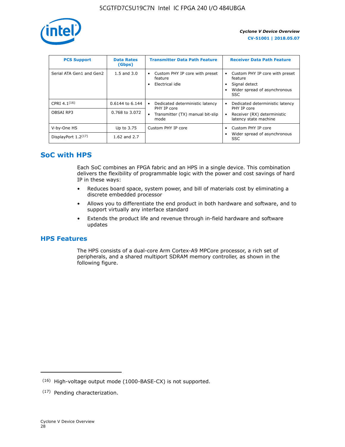

| <b>PCS Support</b>       | <b>Data Rates</b><br>(Gbps) | <b>Transmitter Data Path Feature</b>                         | <b>Receiver Data Path Feature</b>                                                                        |
|--------------------------|-----------------------------|--------------------------------------------------------------|----------------------------------------------------------------------------------------------------------|
| Serial ATA Gen1 and Gen2 | $1.5$ and $3.0$             | Custom PHY IP core with preset<br>feature<br>Electrical idle | Custom PHY IP core with preset<br>feature<br>Signal detect<br>Wider spread of asynchronous<br><b>SSC</b> |
| CPRI 4.1 $(16)$          | 0.6144 to 6.144             | Dedicated deterministic latency<br>٠<br>PHY IP core          | Dedicated deterministic latency<br>PHY IP core                                                           |
| OBSAI RP3                | 0.768 to 3.072              | Transmitter (TX) manual bit-slip<br>$\bullet$<br>mode        | Receiver (RX) deterministic<br>latency state machine                                                     |
| V-by-One HS              | Up to 3.75                  | Custom PHY IP core                                           | Custom PHY IP core                                                                                       |
| DisplayPort $1.2^{(17)}$ | 1.62 and 2.7                |                                                              | Wider spread of asynchronous<br><b>SSC</b>                                                               |

### **SoC with HPS**

Each SoC combines an FPGA fabric and an HPS in a single device. This combination delivers the flexibility of programmable logic with the power and cost savings of hard IP in these ways:

- Reduces board space, system power, and bill of materials cost by eliminating a discrete embedded processor
- Allows you to differentiate the end product in both hardware and software, and to support virtually any interface standard
- Extends the product life and revenue through in-field hardware and software updates

### **HPS Features**

The HPS consists of a dual-core Arm Cortex-A9 MPCore processor, a rich set of peripherals, and a shared multiport SDRAM memory controller, as shown in the following figure.

<sup>(16)</sup> High-voltage output mode (1000-BASE-CX) is not supported.

<sup>(17)</sup> Pending characterization.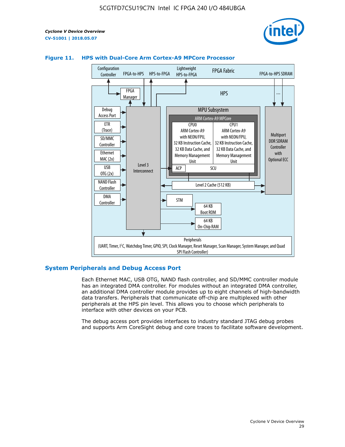



### **Figure 11. HPS with Dual-Core Arm Cortex-A9 MPCore Processor**

### **System Peripherals and Debug Access Port**

Each Ethernet MAC, USB OTG, NAND flash controller, and SD/MMC controller module has an integrated DMA controller. For modules without an integrated DMA controller, an additional DMA controller module provides up to eight channels of high-bandwidth data transfers. Peripherals that communicate off-chip are multiplexed with other peripherals at the HPS pin level. This allows you to choose which peripherals to interface with other devices on your PCB.

The debug access port provides interfaces to industry standard JTAG debug probes and supports Arm CoreSight debug and core traces to facilitate software development.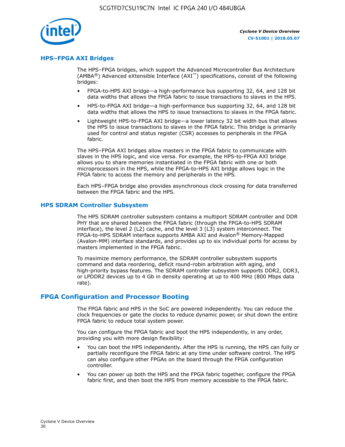

### **HPS–FPGA AXI Bridges**

The HPS–FPGA bridges, which support the Advanced Microcontroller Bus Architecture (AMBA<sup>®</sup>) Advanced eXtensible Interface (AXI<sup>™</sup>) specifications, consist of the following bridges:

- FPGA-to-HPS AXI bridge—a high-performance bus supporting 32, 64, and 128 bit data widths that allows the FPGA fabric to issue transactions to slaves in the HPS.
- HPS-to-FPGA AXI bridge—a high-performance bus supporting 32, 64, and 128 bit data widths that allows the HPS to issue transactions to slaves in the FPGA fabric.
- Lightweight HPS-to-FPGA AXI bridge—a lower latency 32 bit width bus that allows the HPS to issue transactions to slaves in the FPGA fabric. This bridge is primarily used for control and status register (CSR) accesses to peripherals in the FPGA fabric.

The HPS–FPGA AXI bridges allow masters in the FPGA fabric to communicate with slaves in the HPS logic, and vice versa. For example, the HPS-to-FPGA AXI bridge allows you to share memories instantiated in the FPGA fabric with one or both microprocessors in the HPS, while the FPGA-to-HPS AXI bridge allows logic in the FPGA fabric to access the memory and peripherals in the HPS.

Each HPS–FPGA bridge also provides asynchronous clock crossing for data transferred between the FPGA fabric and the HPS.

#### **HPS SDRAM Controller Subsystem**

The HPS SDRAM controller subsystem contains a multiport SDRAM controller and DDR PHY that are shared between the FPGA fabric (through the FPGA-to-HPS SDRAM interface), the level 2 (L2) cache, and the level 3 (L3) system interconnect. The FPGA-to-HPS SDRAM interface supports AMBA AXI and Avalon® Memory-Mapped (Avalon-MM) interface standards, and provides up to six individual ports for access by masters implemented in the FPGA fabric.

To maximize memory performance, the SDRAM controller subsystem supports command and data reordering, deficit round-robin arbitration with aging, and high-priority bypass features. The SDRAM controller subsystem supports DDR2, DDR3, or LPDDR2 devices up to 4 Gb in density operating at up to 400 MHz (800 Mbps data rate).

### **FPGA Configuration and Processor Booting**

The FPGA fabric and HPS in the SoC are powered independently. You can reduce the clock frequencies or gate the clocks to reduce dynamic power, or shut down the entire FPGA fabric to reduce total system power.

You can configure the FPGA fabric and boot the HPS independently, in any order, providing you with more design flexibility:

- You can boot the HPS independently. After the HPS is running, the HPS can fully or partially reconfigure the FPGA fabric at any time under software control. The HPS can also configure other FPGAs on the board through the FPGA configuration controller.
- You can power up both the HPS and the FPGA fabric together, configure the FPGA fabric first, and then boot the HPS from memory accessible to the FPGA fabric.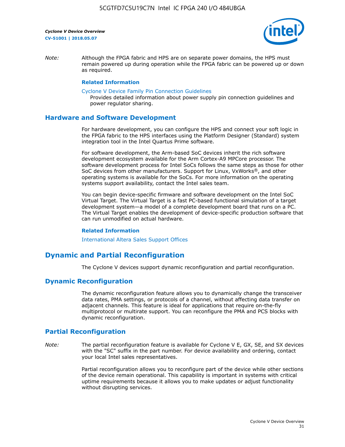

*Note:* Although the FPGA fabric and HPS are on separate power domains, the HPS must remain powered up during operation while the FPGA fabric can be powered up or down as required.

### **Related Information**

[Cyclone V Device Family Pin Connection Guidelines](https://www.altera.com/content/dam/altera-www/global/en_US/pdfs/literature/dp/cyclone-v/pcg-01014.pdf)

Provides detailed information about power supply pin connection guidelines and power regulator sharing.

### **Hardware and Software Development**

For hardware development, you can configure the HPS and connect your soft logic in the FPGA fabric to the HPS interfaces using the Platform Designer (Standard) system integration tool in the Intel Quartus Prime software.

For software development, the Arm-based SoC devices inherit the rich software development ecosystem available for the Arm Cortex-A9 MPCore processor. The software development process for Intel SoCs follows the same steps as those for other SoC devices from other manufacturers. Support for Linux, VxWorks®, and other operating systems is available for the SoCs. For more information on the operating systems support availability, contact the Intel sales team.

You can begin device-specific firmware and software development on the Intel SoC Virtual Target. The Virtual Target is a fast PC-based functional simulation of a target development system—a model of a complete development board that runs on a PC. The Virtual Target enables the development of device-specific production software that can run unmodified on actual hardware.

#### **Related Information**

[International Altera Sales Support Offices](https://www.altera.com/about/contact/contact/international-altera-sales-offices.html)

### **Dynamic and Partial Reconfiguration**

The Cyclone V devices support dynamic reconfiguration and partial reconfiguration.

### **Dynamic Reconfiguration**

The dynamic reconfiguration feature allows you to dynamically change the transceiver data rates, PMA settings, or protocols of a channel, without affecting data transfer on adjacent channels. This feature is ideal for applications that require on-the-fly multiprotocol or multirate support. You can reconfigure the PMA and PCS blocks with dynamic reconfiguration.

### **Partial Reconfiguration**

*Note:* The partial reconfiguration feature is available for Cyclone V E, GX, SE, and SX devices with the "SC" suffix in the part number. For device availability and ordering, contact your local Intel sales representatives.

> Partial reconfiguration allows you to reconfigure part of the device while other sections of the device remain operational. This capability is important in systems with critical uptime requirements because it allows you to make updates or adjust functionality without disrupting services.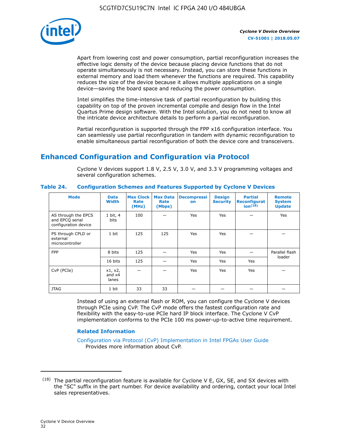

Apart from lowering cost and power consumption, partial reconfiguration increases the effective logic density of the device because placing device functions that do not operate simultaneously is not necessary. Instead, you can store these functions in external memory and load them whenever the functions are required. This capability reduces the size of the device because it allows multiple applications on a single device—saving the board space and reducing the power consumption.

Intel simplifies the time-intensive task of partial reconfiguration by building this capability on top of the proven incremental compile and design flow in the Intel Quartus Prime design software. With the Intel solution, you do not need to know all the intricate device architecture details to perform a partial reconfiguration.

Partial reconfiguration is supported through the FPP x16 configuration interface. You can seamlessly use partial reconfiguration in tandem with dynamic reconfiguration to enable simultaneous partial reconfiguration of both the device core and transceivers.

### **Enhanced Configuration and Configuration via Protocol**

Cyclone V devices support 1.8 V, 2.5 V, 3.0 V, and 3.3 V programming voltages and several configuration schemes.

| <b>Mode</b>                                                    | <b>Data</b><br>Width         | Max Clock  <br>Rate<br>(MHz) | <b>Max Data</b><br>Rate<br>(Mbps) | <b>Decompressi</b><br>on | <b>Design</b><br><b>Security</b> | <b>Partial</b><br>Reconfigurat<br>ion <sup>(18)</sup> | <b>Remote</b><br><b>System</b><br><b>Update</b> |
|----------------------------------------------------------------|------------------------------|------------------------------|-----------------------------------|--------------------------|----------------------------------|-------------------------------------------------------|-------------------------------------------------|
| AS through the EPCS<br>and EPCQ serial<br>configuration device | 1 bit, 4<br>bits             | 100                          |                                   | Yes                      | <b>Yes</b>                       |                                                       | Yes                                             |
| PS through CPLD or<br>external<br>microcontroller              | 1 bit                        | 125                          | 125                               | Yes                      | Yes                              |                                                       |                                                 |
| <b>FPP</b>                                                     | 8 bits                       | 125                          |                                   | Yes                      | <b>Yes</b>                       |                                                       | Parallel flash                                  |
|                                                                | 16 bits                      | 125                          |                                   | Yes                      | <b>Yes</b>                       | Yes                                                   | loader                                          |
| CvP (PCIe)                                                     | x1, x2,<br>and $x4$<br>lanes |                              |                                   | Yes                      | <b>Yes</b>                       | Yes                                                   |                                                 |
| <b>JTAG</b>                                                    | 1 bit                        | 33                           | 33                                |                          |                                  |                                                       |                                                 |

**Table 24. Configuration Schemes and Features Supported by Cyclone V Devices**

Instead of using an external flash or ROM, you can configure the Cyclone V devices through PCIe using CvP. The CvP mode offers the fastest configuration rate and flexibility with the easy-to-use PCIe hard IP block interface. The Cyclone V CvP implementation conforms to the PCIe 100 ms power-up-to-active time requirement.

### **Related Information**

[Configuration via Protocol \(CvP\) Implementation in Intel FPGAs User Guide](https://www.altera.com/documentation/nik1412546950394.html#nik1412546833714) Provides more information about CvP.

 $(18)$  The partial reconfiguration feature is available for Cyclone V E, GX, SE, and SX devices with the "SC" suffix in the part number. For device availability and ordering, contact your local Intel sales representatives.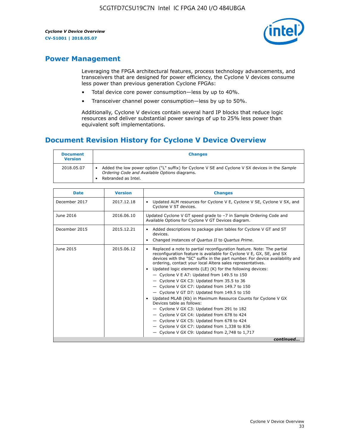

### **Power Management**

Leveraging the FPGA architectural features, process technology advancements, and transceivers that are designed for power efficiency, the Cyclone V devices consume less power than previous generation Cyclone FPGAs:

- Total device core power consumption—less by up to 40%.
- Transceiver channel power consumption—less by up to 50%.

Additionally, Cyclone V devices contain several hard IP blocks that reduce logic resources and deliver substantial power savings of up to 25% less power than equivalent soft implementations.

### **Document Revision History for Cyclone V Device Overview**

| <b>Document</b><br><b>Version</b> | <b>Changes</b>                                                                                                                                                          |
|-----------------------------------|-------------------------------------------------------------------------------------------------------------------------------------------------------------------------|
| 2018.05.07                        | Added the low power option ("L" suffix) for Cyclone V SE and Cyclone V SX devices in the Sample<br>Ordering Code and Available Options diagrams.<br>Rebranded as Intel. |

| <b>Date</b>   | <b>Version</b> | <b>Changes</b>                                                                                                                                                                                                                                                                                                                                                                                                                                                                                                                                                                                                                                                                                                                                                                                                                                                                                                  |
|---------------|----------------|-----------------------------------------------------------------------------------------------------------------------------------------------------------------------------------------------------------------------------------------------------------------------------------------------------------------------------------------------------------------------------------------------------------------------------------------------------------------------------------------------------------------------------------------------------------------------------------------------------------------------------------------------------------------------------------------------------------------------------------------------------------------------------------------------------------------------------------------------------------------------------------------------------------------|
| December 2017 | 2017.12.18     | Updated ALM resources for Cyclone V E, Cyclone V SE, Cyclone V SX, and<br>Cyclone V ST devices.                                                                                                                                                                                                                                                                                                                                                                                                                                                                                                                                                                                                                                                                                                                                                                                                                 |
| June 2016     | 2016.06.10     | Updated Cyclone V GT speed grade to -7 in Sample Ordering Code and<br>Available Options for Cyclone V GT Devices diagram.                                                                                                                                                                                                                                                                                                                                                                                                                                                                                                                                                                                                                                                                                                                                                                                       |
| December 2015 | 2015.12.21     | Added descriptions to package plan tables for Cyclone V GT and ST<br>devices.<br>Changed instances of Quartus II to Quartus Prime.                                                                                                                                                                                                                                                                                                                                                                                                                                                                                                                                                                                                                                                                                                                                                                              |
| June 2015     | 2015.06.12     | Replaced a note to partial reconfiguration feature. Note: The partial<br>reconfiguration feature is available for Cyclone V E, GX, SE, and SX<br>devices with the "SC" suffix in the part number. For device availability and<br>ordering, contact your local Altera sales representatives.<br>Updated logic elements (LE) (K) for the following devices:<br>$\bullet$<br>- Cyclone V E A7: Updated from 149.5 to 150<br>- Cyclone V GX C3: Updated from 35.5 to 36<br>- Cyclone V GX C7: Updated from 149.7 to 150<br>- Cyclone V GT D7: Updated from 149.5 to 150<br>Updated MLAB (Kb) in Maximum Resource Counts for Cyclone V GX<br>Devices table as follows:<br>- Cyclone V GX C3: Updated from 291 to 182<br>- Cyclone V GX C4: Updated from 678 to 424<br>- Cyclone V GX C5: Updated from 678 to 424<br>- Cyclone V GX C7: Updated from 1,338 to 836<br>$-$ Cyclone V GX C9: Updated from 2,748 to 1,717 |
|               |                | continued                                                                                                                                                                                                                                                                                                                                                                                                                                                                                                                                                                                                                                                                                                                                                                                                                                                                                                       |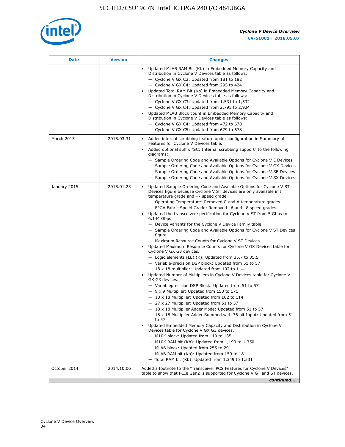

| <b>Date</b>  | <b>Version</b> | <b>Changes</b>                                                                                                                                                                                                                                                                                                                                                                                                                                                                                                                                                                                                                                                                                                                                                                                                                                                                                                                                                                                                                                                                                                                                                                                                                                                                                                                                                                                                                                                                                                                                                                                                                                                                                                  |
|--------------|----------------|-----------------------------------------------------------------------------------------------------------------------------------------------------------------------------------------------------------------------------------------------------------------------------------------------------------------------------------------------------------------------------------------------------------------------------------------------------------------------------------------------------------------------------------------------------------------------------------------------------------------------------------------------------------------------------------------------------------------------------------------------------------------------------------------------------------------------------------------------------------------------------------------------------------------------------------------------------------------------------------------------------------------------------------------------------------------------------------------------------------------------------------------------------------------------------------------------------------------------------------------------------------------------------------------------------------------------------------------------------------------------------------------------------------------------------------------------------------------------------------------------------------------------------------------------------------------------------------------------------------------------------------------------------------------------------------------------------------------|
|              |                | Updated MLAB RAM Bit (Kb) in Embedded Memory Capacity and<br>Distribution in Cyclone V Devices table as follows:<br>- Cyclone V GX C3: Updated from 181 to 182<br>- Cyclone V GX C4: Updated from 295 to 424<br>Updated Total RAM Bit (Kb) in Embedded Memory Capacity and<br>Distribution in Cyclone V Devices table as follows:<br>$-$ Cyclone V GX C3: Updated from 1,531 to 1,532<br>- Cyclone V GX C4: Updated from 2,795 to 2,924<br>Updated MLAB Block count in Embedded Memory Capacity and<br>Distribution in Cyclone V Devices table as follows:<br>- Cyclone V GX C4: Updated from 472 to 678<br>- Cyclone V GX C5: Updated from 679 to 678                                                                                                                                                                                                                                                                                                                                                                                                                                                                                                                                                                                                                                                                                                                                                                                                                                                                                                                                                                                                                                                          |
| March 2015   | 2015.03.31     | Added internal scrubbing feature under configuration in Summary of<br>$\bullet$<br>Features for Cyclone V Devices table.<br>Added optional suffix "SC: Internal scrubbing support" to the following<br>diagrams:<br>- Sample Ordering Code and Available Options for Cyclone V E Devices<br>- Sample Ordering Code and Available Options for Cyclone V GX Devices<br>- Sample Ordering Code and Available Options for Cyclone V SE Devices<br>- Sample Ordering Code and Available Options for Cyclone V SX Devices                                                                                                                                                                                                                                                                                                                                                                                                                                                                                                                                                                                                                                                                                                                                                                                                                                                                                                                                                                                                                                                                                                                                                                                             |
| January 2015 | 2015.01.23     | Updated Sample Ordering Code and Available Options for Cyclone V ST<br>Devices figure because Cyclone V ST devices are only available in I<br>temperature grade and -7 speed grade.<br>- Operating Temperature: Removed C and A temperature grades<br>- FPGA Fabric Speed Grade: Removed -6 and -8 speed grades<br>Updated the transceiver specification for Cyclone V ST from 5 Gbps to<br>6.144 Gbps:<br>- Device Variants for the Cyclone V Device Family table<br>- Sample Ordering Code and Available Options for Cyclone V ST Devices<br>figure<br>- Maximum Resource Counts for Cyclone V ST Devices<br>Updated Maximum Resource Counts for Cyclone V GX Devices table for<br>Cyclone V GX G3 devices.<br>$-$ Logic elements (LE) (K): Updated from 35.7 to 35.5<br>- Variable-precision DSP block: Updated from 51 to 57<br>$-18 \times 18$ multiplier: Updated from 102 to 114<br>Updated Number of Multipliers in Cyclone V Devices table for Cyclone V<br>GX G3 devices.<br>- Variableprecision DSP Block: Updated from 51 to 57<br>$-9x9$ Multiplier: Updated from 153 to 171<br>$-18 \times 18$ Multiplier: Updated from 102 to 114<br>- 27 x 27 Multiplier: Updated from 51 to 57<br>- 18 x 18 Multiplier Adder Mode: Updated from 51 to 57<br>$-18 \times 18$ Multiplier Adder Summed with 36 bit Input: Updated from 51<br>to 57<br>Updated Embedded Memory Capacity and Distribution in Cyclone V<br>Devices table for Cyclone V GX G3 devices.<br>- M10K block: Updated from 119 to 135<br>$-$ M10K RAM bit (Kb): Updated from 1,190 to 1,350<br>- MLAB block: Updated from 255 to 291<br>- MLAB RAM bit (Kb): Updated from 159 to 181<br>$-$ Total RAM bit (Kb): Updated from 1,349 to 1,531 |
| October 2014 | 2014.10.06     | Added a footnote to the "Transceiver PCS Features for Cyclone V Devices"<br>table to show that PCIe Gen2 is supported for Cyclone V GT and ST devices.                                                                                                                                                                                                                                                                                                                                                                                                                                                                                                                                                                                                                                                                                                                                                                                                                                                                                                                                                                                                                                                                                                                                                                                                                                                                                                                                                                                                                                                                                                                                                          |
|              |                | continued                                                                                                                                                                                                                                                                                                                                                                                                                                                                                                                                                                                                                                                                                                                                                                                                                                                                                                                                                                                                                                                                                                                                                                                                                                                                                                                                                                                                                                                                                                                                                                                                                                                                                                       |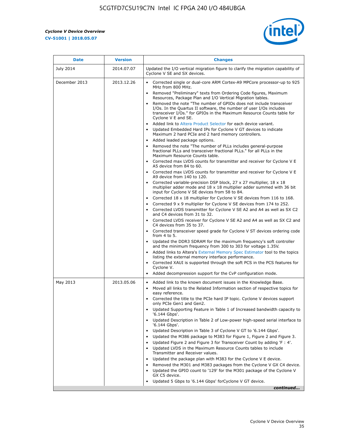r



| <b>Date</b>   | <b>Version</b> | <b>Changes</b>                                                                                                                                                                                                                           |
|---------------|----------------|------------------------------------------------------------------------------------------------------------------------------------------------------------------------------------------------------------------------------------------|
| July 2014     | 2014.07.07     | Updated the I/O vertical migration figure to clarify the migration capability of<br>Cyclone V SE and SX devices.                                                                                                                         |
| December 2013 | 2013.12.26     | Corrected single or dual-core ARM Cortex-A9 MPCore processor-up to 925<br>MHz from 800 MHz.                                                                                                                                              |
|               |                | Removed "Preliminary" texts from Ordering Code figures, Maximum<br>Resources, Package Plan and I/O Vertical Migration tables.                                                                                                            |
|               |                | Removed the note "The number of GPIOs does not include transceiver<br>I/Os. In the Quartus II software, the number of user I/Os includes<br>transceiver I/Os." for GPIOs in the Maximum Resource Counts table for<br>Cyclone V E and SE. |
|               |                | Added link to Altera Product Selector for each device variant.<br>Updated Embedded Hard IPs for Cyclone V GT devices to indicate<br>Maximum 2 hard PCIe and 2 hard memory controllers.                                                   |
|               |                | Added leaded package options.<br>Removed the note "The number of PLLs includes general-purpose<br>fractional PLLs and transceiver fractional PLLs." for all PLLs in the<br>Maximum Resource Counts table.                                |
|               |                | • Corrected max LVDS counts for transmitter and receiver for Cyclone V E<br>A5 device from 84 to 60.                                                                                                                                     |
|               |                | Corrected max LVDS counts for transmitter and receiver for Cyclone V E<br>A9 device from 140 to 120.                                                                                                                                     |
|               |                | Corrected variable-precision DSP block, 27 x 27 multiplier, 18 x 18<br>multiplier adder mode and $18 \times 18$ multiplier adder summed with 36 bit<br>input for Cyclone V SE devices from 58 to 84.                                     |
|               |                | Corrected 18 x 18 multiplier for Cyclone V SE devices from 116 to 168.<br>Corrected 9 x 9 multiplier for Cyclone V SE devices from 174 to 252.                                                                                           |
|               |                | Corrected LVDS transmitter for Cyclone V SE A2 and A4 as well as SX C2<br>and C4 devices from 31 to 32.                                                                                                                                  |
|               |                | • Corrected LVDS receiver for Cyclone V SE A2 and A4 as well as SX C2 and<br>C4 devices from 35 to 37.                                                                                                                                   |
|               |                | • Corrected transceiver speed grade for Cyclone V ST devices ordering code<br>from 4 to 5.                                                                                                                                               |
|               |                | Updated the DDR3 SDRAM for the maximum frequency's soft controller<br>and the minimum frequency from 300 to 303 for voltage 1.35V.                                                                                                       |
|               |                | Added links to Altera's External Memory Spec Estimator tool to the topics<br>listing the external memory interface performance.                                                                                                          |
|               |                | Corrected XAUI is supported through the soft PCS in the PCS features for<br>Cyclone V.                                                                                                                                                   |
|               |                | Added decompression support for the CvP configuration mode.                                                                                                                                                                              |
| May 2013      | 2013.05.06     | Added link to the known document issues in the Knowledge Base.<br>$\bullet$<br>Moved all links to the Related Information section of respective topics for<br>$\bullet$<br>easy reference.                                               |
|               |                | Corrected the title to the PCIe hard IP topic. Cyclone V devices support<br>only PCIe Gen1 and Gen2.                                                                                                                                     |
|               |                | • Updated Supporting Feature in Table 1 of Increased bandwidth capacity to<br>'6.144 Gbps'.                                                                                                                                              |
|               |                | Updated Description in Table 2 of Low-power high-speed serial interface to<br>'6.144 Gbps'.                                                                                                                                              |
|               |                | Updated Description in Table 3 of Cyclone V GT to '6.144 Gbps'.                                                                                                                                                                          |
|               |                | Updated the M386 package to M383 for Figure 1, Figure 2 and Figure 3.<br>$\bullet$                                                                                                                                                       |
|               |                | Updated Figure 2 and Figure 3 for Transceiver Count by adding 'F : 4'.<br>$\bullet$<br>Updated LVDS in the Maximum Resource Counts tables to include<br>Transmitter and Receiver values.                                                 |
|               |                | Updated the package plan with M383 for the Cyclone V E device.<br>$\bullet$                                                                                                                                                              |
|               |                | Removed the M301 and M383 packages from the Cyclone V GX C4 device.<br>Updated the GPIO count to '129' for the M301 package of the Cyclone V<br>GX C5 device.                                                                            |
|               |                | Updated 5 Gbps to '6.144 Gbps' for Cyclone V GT device.                                                                                                                                                                                  |
|               |                | continued                                                                                                                                                                                                                                |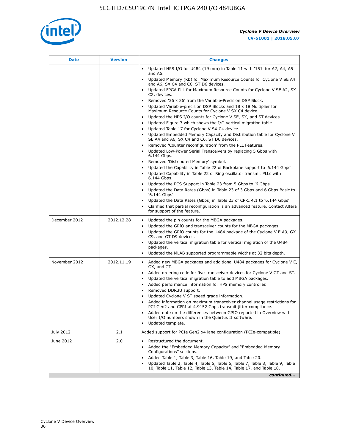

| <b>Date</b>   | <b>Version</b> | <b>Changes</b>                                                                                                                                                                                                                                                                                                                                                                                                                                                                                                                                                                                                                       |
|---------------|----------------|--------------------------------------------------------------------------------------------------------------------------------------------------------------------------------------------------------------------------------------------------------------------------------------------------------------------------------------------------------------------------------------------------------------------------------------------------------------------------------------------------------------------------------------------------------------------------------------------------------------------------------------|
|               |                | Updated HPS I/O for U484 (19 mm) in Table 11 with '151' for A2, A4, A5<br>$\bullet$<br>and A6.                                                                                                                                                                                                                                                                                                                                                                                                                                                                                                                                       |
|               |                | Updated Memory (Kb) for Maximum Resource Counts for Cyclone V SE A4<br>and A6, SX C4 and C6, ST D6 devices.                                                                                                                                                                                                                                                                                                                                                                                                                                                                                                                          |
|               |                | Updated FPGA PLL for Maximum Resource Counts for Cyclone V SE A2, SX<br>C2, devices.                                                                                                                                                                                                                                                                                                                                                                                                                                                                                                                                                 |
|               |                | Removed '36 x 36' from the Variable-Precision DSP Block.<br>Updated Variable-precision DSP Blocks and 18 x 18 Multiplier for<br>Maximum Resource Counts for Cyclone V SX C4 device.<br>• Updated the HPS I/O counts for Cyclone V SE, SX, and ST devices.                                                                                                                                                                                                                                                                                                                                                                            |
|               |                | Updated Figure 7 which shows the I/O vertical migration table.<br>Updated Table 17 for Cyclone V SX C4 device.<br>$\bullet$                                                                                                                                                                                                                                                                                                                                                                                                                                                                                                          |
|               |                | • Updated Embedded Memory Capacity and Distribution table for Cyclone V<br>SE A4 and A6, SX C4 and C6, ST D6 devices.                                                                                                                                                                                                                                                                                                                                                                                                                                                                                                                |
|               |                | • Removed 'Counter reconfiguration' from the PLL Features.<br>Updated Low-Power Serial Transceivers by replacing 5 Gbps with<br>6.144 Gbps.                                                                                                                                                                                                                                                                                                                                                                                                                                                                                          |
|               |                | Removed 'Distributed Memory' symbol.<br>Updated the Capability in Table 22 of Backplane support to '6.144 Gbps'.<br>• Updated Capability in Table 22 of Ring oscillator transmit PLLs with<br>6.144 Gbps.                                                                                                                                                                                                                                                                                                                                                                                                                            |
|               |                | • Updated the PCS Support in Table 23 from 5 Gbps to '6 Gbps'.<br>Updated the Data Rates (Gbps) in Table 23 of 3 Gbps and 6 Gbps Basic to<br>'6.144 Gbps'.                                                                                                                                                                                                                                                                                                                                                                                                                                                                           |
|               |                | Updated the Data Rates (Gbps) in Table 23 of CPRI 4.1 to '6.144 Gbps'.<br>Clarified that partial reconfiguration is an advanced feature. Contact Altera<br>for support of the feature.                                                                                                                                                                                                                                                                                                                                                                                                                                               |
| December 2012 | 2012.12.28     | Updated the pin counts for the MBGA packages.<br>$\bullet$<br>Updated the GPIO and transceiver counts for the MBGA packages.<br>Updated the GPIO counts for the U484 package of the Cyclone V E A9, GX<br>C9, and GT D9 devices.<br>• Updated the vertical migration table for vertical migration of the U484                                                                                                                                                                                                                                                                                                                        |
|               |                | packages.<br>Updated the MLAB supported programmable widths at 32 bits depth.                                                                                                                                                                                                                                                                                                                                                                                                                                                                                                                                                        |
| November 2012 | 2012.11.19     | • Added new MBGA packages and additional U484 packages for Cyclone V E,<br>GX, and GT.<br>• Added ordering code for five-transceiver devices for Cyclone V GT and ST.<br>Updated the vertical migration table to add MBGA packages.<br>$\bullet$<br>Added performance information for HPS memory controller.<br>$\bullet$<br>Removed DDR3U support.<br>$\bullet$<br>Updated Cyclone V ST speed grade information.<br>Added information on maximum transceiver channel usage restrictions for<br>PCI Gen2 and CPRI at 4.9152 Gbps transmit jitter compliance.<br>Added note on the differences between GPIO reported in Overview with |
|               |                | User I/O numbers shown in the Quartus II software.<br>Updated template.                                                                                                                                                                                                                                                                                                                                                                                                                                                                                                                                                              |
| July 2012     | 2.1            | Added support for PCIe Gen2 x4 lane configuration (PCIe-compatible)                                                                                                                                                                                                                                                                                                                                                                                                                                                                                                                                                                  |
| June 2012     | 2.0            | Restructured the document.<br>Added the "Embedded Memory Capacity" and "Embedded Memory<br>Configurations" sections.<br>Added Table 1, Table 3, Table 16, Table 19, and Table 20.<br>$\bullet$<br>Updated Table 2, Table 4, Table 5, Table 6, Table 7, Table 8, Table 9, Table<br>10, Table 11, Table 12, Table 13, Table 14, Table 17, and Table 18.                                                                                                                                                                                                                                                                                |
|               |                | continued                                                                                                                                                                                                                                                                                                                                                                                                                                                                                                                                                                                                                            |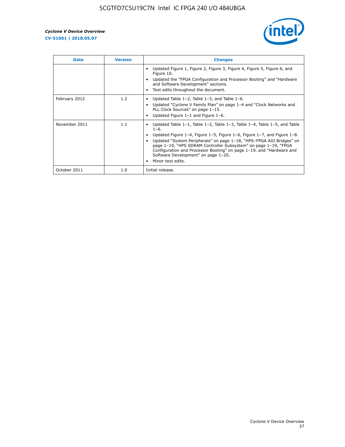

| <b>Date</b>   | <b>Version</b> | <b>Changes</b>                                                                                                                                                                                                                                                                                                                                                                                                                                                              |
|---------------|----------------|-----------------------------------------------------------------------------------------------------------------------------------------------------------------------------------------------------------------------------------------------------------------------------------------------------------------------------------------------------------------------------------------------------------------------------------------------------------------------------|
|               |                | Updated Figure 1, Figure 2, Figure 3, Figure 4, Figure 5, Figure 6, and<br>Figure 10.<br>Updated the "FPGA Configuration and Processor Booting" and "Hardware"<br>and Software Development" sections.<br>Text edits throughout the document.                                                                                                                                                                                                                                |
| February 2012 | 1.2            | Updated Table $1-2$ , Table $1-3$ , and Table $1-6$ .<br>Updated "Cyclone V Family Plan" on page 1-4 and "Clock Networks and<br>PLL Clock Sources" on page 1-15.<br>Updated Figure 1-1 and Figure 1-6.                                                                                                                                                                                                                                                                      |
| November 2011 | 1.1            | Updated Table $1-1$ , Table $1-2$ , Table $1-3$ , Table $1-4$ , Table $1-5$ , and Table<br>$1 - 6$ .<br>Updated Figure 1–4, Figure 1–5, Figure 1–6, Figure 1–7, and Figure 1–8.<br>Updated "System Peripherals" on page 1-18, "HPS-FPGA AXI Bridges" on<br>page 1-19, "HPS SDRAM Controller Subsystem" on page 1-19, "FPGA<br>Configuration and Processor Booting" on page 1-19, and "Hardware and<br>Software Development" on page 1-20.<br>Minor text edits.<br>$\bullet$ |
| October 2011  | 1.0            | Initial release.                                                                                                                                                                                                                                                                                                                                                                                                                                                            |